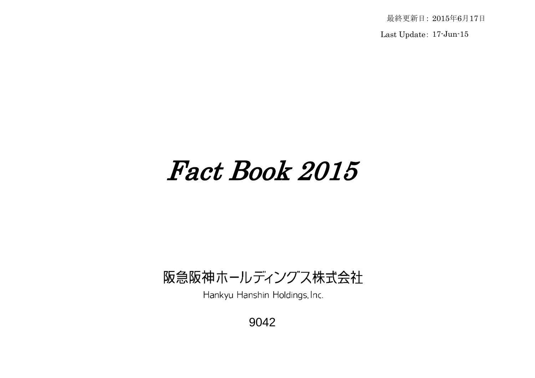最終更新日: 2015年6月17日

Last U pdate: 17-Jun-15

# Fact Book 2015

## 阪急阪神ホールディングス株式会社

Hankyu Hanshin Holdings, Inc.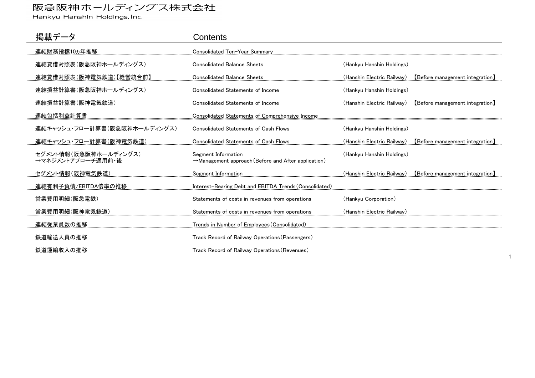Hankyu Hanshin Holdings, Inc.

| 掲載データ                                      | Contents                                                                                |                            |                                 |
|--------------------------------------------|-----------------------------------------------------------------------------------------|----------------------------|---------------------------------|
| 連結財務指標10ヵ年推移                               | Consolidated Ten-Year Summary                                                           |                            |                                 |
| 連結貸借対照表(阪急阪神ホールディングス)                      | <b>Consolidated Balance Sheets</b>                                                      | (Hankyu Hanshin Holdings)  |                                 |
| 連結貸借対照表(阪神電気鉄道)【経営統合前】                     | <b>Consolidated Balance Sheets</b>                                                      | (Hanshin Electric Railway) | [Before management integration] |
| 連結損益計算書(阪急阪神ホールディングス)                      | Consolidated Statements of Income                                                       | (Hankyu Hanshin Holdings)  |                                 |
| 連結損益計算書(阪神電気鉄道)                            | <b>Consolidated Statements of Income</b>                                                | (Hanshin Electric Railway) | [Before management integration] |
| 連結包括利益計算書                                  | Consolidated Statements of Comprehensive Income                                         |                            |                                 |
| 連結キャッシュ・フロー計算書(阪急阪神ホールディングス)               | <b>Consolidated Statements of Cash Flows</b>                                            | (Hankyu Hanshin Holdings)  |                                 |
| 連結キャッシュ・フロー計算書(阪神電気鉄道)                     | <b>Consolidated Statements of Cash Flows</b>                                            | (Hanshin Electric Railway) | [Before management integration] |
| セグメント情報(阪急阪神ホールディングス)<br>→マネジメントアプローチ適用前・後 | Segment Information<br>$\rightarrow$ Management approach (Before and After application) | (Hankyu Hanshin Holdings)  |                                 |
| セグメント情報(阪神電気鉄道)                            | Segment Information                                                                     | (Hanshin Electric Railway) | [Before management integration] |
| 連結有利子負債/EBITDA倍率の推移                        | Interest-Bearing Debt and EBITDA Trends (Consolidated)                                  |                            |                                 |
| 営業費用明細(阪急電鉄)                               | Statements of costs in revenues from operations                                         | (Hankyu Corporation)       |                                 |
| 営業費用明細(阪神電気鉄道)                             | Statements of costs in revenues from operations                                         | (Hanshin Electric Railway) |                                 |
| 連結従業員数の推移                                  | Trends in Number of Employees (Consolidated)                                            |                            |                                 |
| 鉄道輸送人員の推移                                  | Track Record of Railway Operations (Passengers)                                         |                            |                                 |
| 鉄道運輸収入の推移                                  | Track Record of Railway Operations (Revenues)                                           |                            |                                 |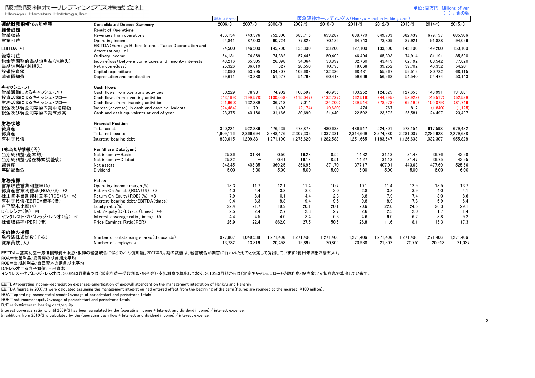| Hankyu Hanshin Holdings, Inc. |                                                                             |                                                             |                          |            |           |            |           |           |           |           | )は負の数     |  |
|-------------------------------|-----------------------------------------------------------------------------|-------------------------------------------------------------|--------------------------|------------|-----------|------------|-----------|-----------|-----------|-----------|-----------|--|
|                               |                                                                             | 阪神ホールディングス(Hankvu Hanshin Holdings.Inc.)<br>阪急<br>ス急ホールディング |                          |            |           |            |           |           |           |           |           |  |
| 連結財務指標10ヵ年推移                  | <b>Consolidated Decade Summary</b>                                          | 2006/3                                                      | 2007/3                   | 2008/3     | 2009/3    | 2010/3     | 2011/3    | 2012/3    | 2013/3    | 2014/3    | 2015/3    |  |
| 経営成績                          | <b>Result of Operations</b>                                                 |                                                             |                          |            |           |            |           |           |           |           |           |  |
| 営業収益                          | Revenues from operations                                                    | 486.154                                                     | 743.376                  | 752.300    | 683.715   | 653.287    | 638.770   | 649.703   | 682.439   | 679.157   | 685.906   |  |
| 営業利益                          | Operating income                                                            | 64.841                                                      | 87.003                   | 90.724     | 77.823    | 70.126     | 64,743    | 73,809    | 87,921    | 91.828    | 94,026    |  |
| EBITDA *1                     | EBITDA (Earnings Before Interest Taxes Depreciation and<br>Amortization) *1 | 94,500                                                      | 146,500                  | 145,200    | 135,300   | 133,200    | 127,100   | 133,500   | 145,100   | 149,200   | 150,100   |  |
| 経常利益                          | Ordinary income                                                             | 54,131                                                      | 74,869                   | 74.882     | 57,445    | 50.409     | 46,494    | 65,393    | 74,914    | 81,191    | 85,590    |  |
| 税金等調整前当期純利益(純損失)              | Income(loss) before income taxes and minority interests                     | 43,216                                                      | 65.305                   | 26.098     | 34.064    | 33.899     | 32,760    | 43.419    | 62.192    | 83.542    | 77.620    |  |
| 当期純利益(純損失)                    | Net income(loss)                                                            | 25,326                                                      | 36,619                   | 627        | 20,550    | 10,793     | 18,068    | 39,252    | 39,702    | 46,352    | 54,201    |  |
| 設備投資額                         | Capital expenditure                                                         | 52.090                                                      | 53,795                   | 134,307    | 109.688   | 132.386    | 68,431    | 55,267    | 59,512    | 80,722    | 68,115    |  |
| 減価償却費                         | Depreciation and amotisation                                                | 29,611                                                      | 43.888                   | 51,577     | 54,798    | 60,418     | 59,669    | 56.968    | 54,540    | 54,474    | 53.143    |  |
| キャッシュ・フロー                     | <b>Cash Flows</b>                                                           |                                                             |                          |            |           |            |           |           |           |           |           |  |
| 営業活動によるキャッシュ・フロー              | Cash flows from operating activities                                        | 80.229                                                      | 78.981                   | 74.902     | 108.597   | 146.955    | 103.252   | 124.525   | 127.655   | 146.991   | 131.881   |  |
| 投資活動によるキャッシュ・フロー              | Cash flows from investing activities                                        | (43.199)                                                    | (199, 578)               | (100, 058) | (115,047) | (132, 737) | (62, 516) | (44, 295) | (58, 923) | (45,517)  | (52, 529) |  |
| 財務活動によるキャッシュ・フロー              | Cash flows from financing activities                                        | (61,960)                                                    | 132.289                  | 36,718     | 7.014     | (24.200)   | (39, 544) | (78, 978) | (69.195)  | (105,079) | (81.746)  |  |
| 現金及び現金同等物の期中増減額               | Increse (decrese) in cash and cash equivalents                              | (24, 484)                                                   | 11,791                   | 11,403     | (2.174)   | (9,680)    | 474       | 767       | 817       | (1,840)   | (1, 125)  |  |
| 現金及び現金同等物の期末残高                | Cash and cash equivalents at end of year                                    | 28.375                                                      | 40.166                   | 31.166     | 30.690    | 21.440     | 22,592    | 23,572    | 25,581    | 24,497    | 23,497    |  |
| 財務状態                          | <b>Financial Position</b>                                                   |                                                             |                          |            |           |            |           |           |           |           |           |  |
| 純資産                           | <b>Total assets</b>                                                         | 360,221                                                     | 522,286                  | 476.639    | 473,878   | 480,633    | 486,947   | 524,801   | 573,154   | 617,598   | 679,482   |  |
| 総資産                           | Total net assets                                                            | 1.609.116                                                   | 2.366.694                | 2.348.476  | 2.307.332 | 2.337.331  | 2.314.669 | 2,274,380 | 2.281.007 | 2,286,928 | 2,279,638 |  |
| 有利子負債                         | Interest-bearing debt                                                       | 889,615                                                     | 1,209,381                | 1,271,100  | 1,275,620 | 1,282,583  | 1,251,665 | 1,183,647 | 1,126,633 | 1,032,307 | 955,828   |  |
| 1株当たり情報(円)                    | Per Share Data (yen)                                                        |                                                             |                          |            |           |            |           |           |           |           |           |  |
| 当期純利益(基本的)                    | Net income - Basic                                                          | 25.36                                                       | 31.84                    | 0.50       | 16.28     | 8.55       | 14.32     | 31.13     | 31.48     | 36.76     | 42.98     |  |
| 当期純利益(潜在株式調整後)                | Net income-Diluted                                                          | 25.22                                                       | $\overline{\phantom{m}}$ | 0.41       | 16.18     | 8.51       | 14.27     | 31.13     | 31.47     | 36.75     | 42.95     |  |
| 純資産                           | Net assets                                                                  | 343.45                                                      | 405.35                   | 369.25     | 366.96    | 371.70     | 377.17    | 407.01    | 443.63    | 477.69    | 525.56    |  |
| 年間配当金                         | Dividend                                                                    | 5.00                                                        | 5.00                     | 5.00       | 5.00      | 5.00       | 5.00      | 5.00      | 5.00      | 6.00      | 6.00      |  |
| 財務指標                          | Ratios                                                                      |                                                             |                          |            |           |            |           |           |           |           |           |  |
| 営業収益営業利益率(%)                  | Operating income margin (%)                                                 | 13.3                                                        | 11.7                     | 12.1       | 11.4      | 10.7       | 10.1      | 11.4      | 12.9      | 13.5      | 13.7      |  |
| 総資産営業利益率(ROA)(%) *2           | Return On Assets (ROA) (%) *2                                               | 4.0                                                         | 4.4                      | 3.8        | 3.3       | 3.0        | 2.8       | 3.2       | 3.9       | 4.0       | 4.1       |  |
| 株主資本当期純利益率(ROE)(%) *3         | Return On Equity (ROE) (%) *3                                               | 7.9                                                         | 8.4                      | 0.1        | 4.4       | 2.3        | 3.8       | 7.9       | 7.4       | 8.0       | 8.6       |  |
| 有利子負債/EBITDA倍率(倍)             | Interest-bearing debt/EBITDA (times)                                        | 9.4                                                         | 8.3                      | 8.8        | 9.4       | 9.6        | 9.8       | 8.9       | 7.8       | 6.9       | 6.4       |  |
| 自己資本比率(%)                     | Equity ratio $(\%)$                                                         | 22.4                                                        | 21.7                     | 19.9       | 20.1      | 20.1       | 20.6      | 22.6      | 24.5      | 26.3      | 29.1      |  |
| D/Eレシオ(倍) *4                  | Debt/equity(D/E) ratio(times) *4                                            | 2.5                                                         | 2.4                      | 2.7        | 2.8       | 2.7        | 2.6       | 2.3       | 2.0       | 1.7       | 1.4       |  |
| インタレスト・カバレッジ・レシオ(倍) *5        | Interest coverage ratio (times) *5                                          | 4.4                                                         | 4.5                      | 4.0        | 3.4       | 6.3        | 4.6       | 6.0       | 6.7       | 8.8       | 9.2       |  |
| 株価収益率(PER)(倍)                 | Price Earnings Ratio (PER)                                                  | 26.9                                                        | 22.4                     | 862.0      | 27.5      | 50.6       | 26.8      | 11.6      | 18.1      | 15.3      | 17.3      |  |
| その他の指標                        |                                                                             |                                                             |                          |            |           |            |           |           |           |           |           |  |
| 発行済株式総数(千株)                   | Number of outstanding shares (thousands)                                    | 927.867                                                     | 1.049.538                | 1.271.406  | 1.271.406 | 1.271.406  | 1.271.406 | 1.271.406 | 1.271.406 | 1.271.406 | 1,271,406 |  |
| 従業員数(人)                       | Number of employees                                                         | 13,732                                                      | 13.319                   | 20.498     | 19.892    | 20.805     | 20,938    | 21,302    | 20,751    | 20.913    | 21.037    |  |

EBITDA=営業利益+減価償却費+阪急・阪神の経営統合に伴うのれん償却額。2007年3月期の数値は、経営統合が期首に行われたものと仮定して算出しています(億円未満を四捨五入)。

ROA=営業利益/総資産の期首期末平均

ROE=当期純利益/自己資本の期首期末平均

D/Eレシオ=有利子負債/自己資本

インタレスト・カバレッジ・レシオは、2009年3月期までは(営業利益+受取利息・配当金)/支払利息で算出しており、2010年3月期からは(営業キャッシュフロー+受取利息・配当金)/支払利息で算出しています。

EBITDA=operating income+depreciation expenses+amortisation of goodwill attendant on the manegement integration of Hankyu and Hanshin.

EBITDA figures in 2007/3 were calcuated assuming the management integration had entered effect from the beginning of the term (figures are rounded to the nearest ¥100 million).

ROA=operating income/total assets(average of period-start and period-end totals)

ROE=net income/equity(average of period-start and period-end totals)

D/E rario=interest-bearing debt/equity

Interest coverage ratio is, until 2009/3 has been calculated by the (operating income + Interest and dividend income) / interest expense.

In addition, from 2010/3 is calculated by the (operating cash flow + Interest and dividend income) / interest expense.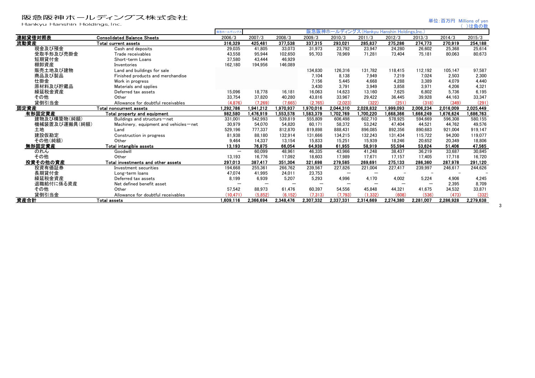Hankyu Hanshin Holdings, Inc.

|               |                                       | 阪急ホールディング                       |           |           | 阪急        |           | (Hankvu                  | Hanshin Holdings.Inc.    |                          |           |           |
|---------------|---------------------------------------|---------------------------------|-----------|-----------|-----------|-----------|--------------------------|--------------------------|--------------------------|-----------|-----------|
| 連結貸借対照表       | <b>Consolidated Balance Sheets</b>    | 2006/3                          | 2007/3    | 2008/3    | 2009/3    | 2010/3    | 2011/3                   | 2012/3                   | 2013/3                   | 2014/3    | 2015/3    |
| 流動資産          | Total current assets                  | 316,329                         | 425.481   | 377.538   | 337,315   | 293.021   | 285.837                  | 275.286                  | 274,773                  | 270.919   | 254,188   |
| 現金及び預金        | Cash and deposits                     | 29,035                          | 41.805    | 33,073    | 31,973    | 23,792    | 23,947                   | 24,280                   | 26.602                   | 25,368    | 25,614    |
| 受取手形及び売掛金     | Trade receivables                     | 43.558                          | 95.944    | 102.650   | 95.703    | 78.969    | 71.281                   | 73,404                   | 75.181                   | 80.063    | 80.673    |
| 短期貸付金         | Short-term Loans                      | 37.580                          | 43.444    | 46.929    |           |           |                          |                          |                          |           |           |
| 棚卸資産          | Inventories                           | 162,180                         | 194,956   | 146,089   |           |           |                          |                          |                          |           |           |
| 販売土地及び建物      | Land and buildings for sale           |                                 |           |           | 134,830   | 126,316   | 131,782                  | 118,415                  | 112,192                  | 105,147   | 97,587    |
| 商品及び製品        | Finished products and merchandise     |                                 |           |           | 7.104     | 8.138     | 7.949                    | 7.219                    | 7.024                    | 2.503     | 2,300     |
| 仕掛金           | Work in progress                      |                                 |           |           | 7.156     | 5.445     | 4.668                    | 4.288                    | 3.389                    | 4.079     | 4.440     |
| 原材料及び貯蔵品      | Materials and spplies                 |                                 |           |           | 3.430     | 3.791     | 3.949                    | 3.858                    | 3.971                    | 4.206     | 4,321     |
| 繰延税金資産        | Deferred tax assets                   | 15.096                          | 18.778    | 16.181    | 16,063    | 14.623    | 13.160                   | 7.625                    | 6.802                    | 5.736     | 6,195     |
| その他           | Other                                 | 33,754                          | 37.820    | 40.280    | 43.816    | 33.967    | 29.422                   | 36,445                   | 39,928                   | 44.163    | 33,347    |
| 貸倒引当金         | Allowance for doubtful receivables    | (4.876)                         | (7.269)   | (7.665)   | (2.765)   | (2.023)   | (322)                    | (251)                    | (318)                    | (349)     | (291)     |
| 固定資産          | Total noncurrent assets               | .292.786                        | 1.941.212 | 1.970.937 | 1.970.016 | 2,044,310 | 2.028.832                | 999.093                  | 2.006.234                | 2.016.009 | 2,025,449 |
| 有形固定資産        | Total property and equipment          | 982,580                         | 1,476,919 | 1,553,578 | ,583,379  | 1.702.769 | 1,700,220                | 868,366.                 | 1.666.249                | 1.676.624 | ,686,763  |
| 建物及び構築物(純額)   | Buildings and structurs-net           | 331,001                         | 542.993   | 539.819   | 555,809   | 606.498   | 602.710                  | 578,925                  | 594.669                  | 596.308   | 580,155   |
| 機械装置及び運搬具(純額) | Machinery, equipment and vehicles-net | 30.979                          | 54.070    | 54.820    | 60.171    | 58.372    | 53.242                   | 47.404                   | 44.521                   | 44.762    | 49,576    |
| 土地            | Land                                  | 529.196                         | 777.337   | 812.870   | 819.898   | 888.431   | 896.085                  | 892.356                  | 890.683                  | 921.004   | 919.147   |
| 建設仮勘定         | Construction in progress              | 81.938                          | 88.180    | 132.914   | 131.666   | 134.215   | 132.243                  | 131.434                  | 115.722                  | 94.200    | 119,077   |
| その他(純額)       | Other                                 | 9.464                           | 14.337    | 13.154    | 15,833    | 15.251    | 15.939                   | 18,246                   | 20.652                   | 20,349    | 18,806    |
| 無形固定資産        | Total intangible assets               | 13,193                          | 76.875    | 66.054    | 64,938    | 61,955    | 58,919                   | 55.594                   | 53.624                   | 51,406    | 47,565    |
| のれん           | Goodwill                              | $\overbrace{\phantom{1232211}}$ | 60.099    | 48.961    | 46,335    | 43.966    | 41.248                   | 38.437                   | 36.219                   | 33.687    | 30,845    |
| その他           | Other                                 | 13.193                          | 16.776    | 17.092    | 18.603    | 17.989    | 17.671                   | 17.157                   | 17.405                   | 17.718    | 16.720    |
| 投資その他の資産      | Total investments and other assets    | 297.013                         | 387.417   | 351.304   | 321.698   | 279.585   | 269.691                  | 275.133                  | 286.360                  | 287.978   | 291,120   |
| 投資有価証券        | Investment securities                 | 194,668                         | 255.361   | 266.762   | 239,567   | 227,826   | 221,004                  | 227,417                  | 239,997                  | 246,617   | 244,626   |
| 長期貸付金         | Long-term loans                       | 47.074                          | 41.995    | 24.011    | 23,753    |           |                          |                          |                          |           |           |
| 繰延税金資産        | Deferred tax assets                   | 8.199                           | 6,939     | 5.207     | 5,293     | 4,996     | 4,170                    | 4,002                    | 5.224                    | 4.906     | 4,245     |
| 退職給付に係る資産     | Net defined benefit asset             |                                 |           |           |           | —         | $\overline{\phantom{0}}$ | $\overline{\phantom{0}}$ | $\overline{\phantom{0}}$ | 2,395     | 8,709     |
| その他           | Other                                 | 57,542                          | 88.973    | 61.476    | 60,397    | 54.556    | 45.848                   | 44.321                   | 41,675                   | 34.532    | 33,871    |
| 貸倒引当金         | Allowance for doubtful receivables    | (10.471)                        | (5.852)   | (6.152)   | (7, 313)  | (7.793)   | (1.332)                  | (608)                    | (536)                    | (473)     | (332)     |
| 資産合計          | <b>Total assets</b>                   | 1.609.116                       | 2.366.694 | 2.348.476 | 2.307.332 | 2.337.331 | 2.314.669                | 2.274.380                | 2.281.007                | 2.286.928 | 2.279.638 |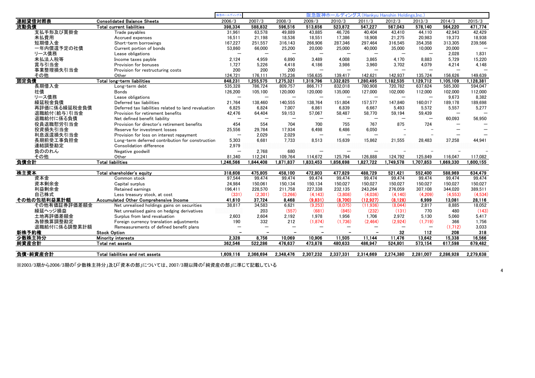|              |                                                      | 阪急ホールディング                |                          |                          |                          | 阪急阪神ホールディングス (Hankyu Hanshin Holdings, Inc. |                          |                                 |                                   |                   |           |
|--------------|------------------------------------------------------|--------------------------|--------------------------|--------------------------|--------------------------|---------------------------------------------|--------------------------|---------------------------------|-----------------------------------|-------------------|-----------|
| 連結貸借対照表      | <b>Consolidated Balance Sheets</b>                   | 2006/3                   | 2007/3                   | 2008/3                   | 2009/3                   | 2010/3                                      | 2011/3                   | 2012/3                          | 2013/3                            | 2014/3            | 2015/3    |
| 流動負債         | <b>Total current liabilities</b>                     | 398.334                  | 588.832                  | 596.516                  | 513,656                  | 523.872                                     | 547.227                  | 567.043                         | 578.140                           | 564.220           | 471.774   |
| 支払手形及び買掛金    | Trade pavables                                       | 31.961                   | 63.578                   | 49.889                   | 43.885                   | 46.726                                      | 40.404                   | 43.410                          | 44.110                            | 42.943            | 42.429    |
| 未払費用         | Accrued expenses                                     | 16,511                   | 21.198                   | 18,536                   | 18,551                   | 17,386                                      | 18.908                   | 21,275                          | 20.983                            | 19.373            | 18,938    |
| 短期借入金        | Short-term borrowings                                | 167,227                  | 251.557                  | 316,143                  | 266,906                  | 287,346                                     | 297,464                  | 316,545                         | 354,358                           | 313,305           | 239,566   |
| 一年内償還予定の社債   | Current portion of bonds                             | 53,860                   | 66.000                   | 25,200                   | 20.000                   | 25.000                                      | 40.000                   | 35,000                          | 10.000                            | 20.000            |           |
| リース債務        | Lease obligations                                    | $\overline{\phantom{0}}$ | $\overline{\phantom{0}}$ |                          | $\overline{\phantom{0}}$ | $\overline{\phantom{0}}$                    |                          |                                 |                                   | 2.028             | 1.831     |
| 未払法人税等       | Income taxes payble                                  | 2,124                    | 4,959                    | 6,890                    | 3.489                    | 4,008                                       | 3,865                    | 4,170                           | 8,883                             | 5,729             | 15,220    |
| 賞与引当金        | Provision for bonuses                                | 1,727                    | 5.226                    | 4,418                    | 4,186                    | 3.986                                       | 3,960                    | 3,702                           | 4.079                             | 4.214             | 4,148     |
| 事業整理損失引当金    | Provision for restructuring costs                    | 200                      | 200                      | 200                      |                          |                                             |                          |                                 |                                   |                   |           |
| その他          | Other                                                | 124.721                  | 176.111                  | 175,236                  | 156.635                  | 139.417                                     | 142.621                  | 142.937                         | 135,724                           | 156.626           | 149.639   |
| 固定負債         | Total long-term liabilities                          | 848,231                  | 1,255,575                | 1,275,321                | 1,319,796                | 332,825                                     | 1,280,495                | 1,182,535                       | 1,129,712                         | .105, 109         | .128,381  |
| 長期借入金        | Long-term debt                                       | 535.328                  | 786.724                  | 809.757                  | 866.717                  | 832.018                                     | 780.908                  | 720.782                         | 637.624                           | 585.300           | 594.047   |
| 社債           | <b>Bonds</b>                                         | 126,200                  | 105,100                  | 120,000                  | 120,000                  | 135,000                                     | 127,000                  | 102,000                         | 112,000                           | 102,000           | 112,000   |
| リース債務        | Lease obligations                                    | $\overline{\phantom{0}}$ |                          |                          |                          | $\overline{\phantom{0}}$                    |                          |                                 | $\overline{\phantom{0}}$          | 9.673             | 8,382     |
| 繰延税金負債       | Deferred tax liabilities                             | 21.764                   | 138.460                  | 140,555                  | 138.764                  | 151.804                                     | 157.577                  | 147.840                         | 160.017                           | 189.178           | 189,698   |
| 再評価に係る繰延税金負債 | Deferred tax liabilities related to land revaluation | 6,825                    | 6.824                    | 7,007                    | 6.861                    | 6,839                                       | 6,667                    | 5.493                           | 5.572                             | 5.557             | 5,277     |
| 退職給付(給与)引当金  | Provision for retirement benefits                    | 42.476                   | 64.404                   | 59.153                   | 57.067                   | 58.487                                      | 58.770                   | 59.194                          | 59.439                            | $\qquad \qquad -$ |           |
| 退職給付に係る負債    | Net defined benefit liability                        |                          |                          |                          |                          | $\overline{\phantom{0}}$                    | $\overline{\phantom{m}}$ |                                 | $\overbrace{\phantom{123221111}}$ | 60.093            | 56,950    |
| 役員退職慰労引当金    | Provision for director's retirement benefits         | 454                      | 554                      | 704                      | 700                      | 755                                         | 767                      | 875                             | 724                               |                   |           |
| 投資損失引当金      | Reserve for investment losses                        | 25.556                   | 29.784                   | 17.934                   | 6.498                    | 6.486                                       | 6.050                    |                                 |                                   |                   |           |
| 利息返還損失引当金    | Provision for loss on interest repayment             | $\overline{\phantom{0}}$ | 2.029                    | 2.029                    |                          |                                             |                          | Ē,                              |                                   |                   |           |
| 長期前受工事負担金    | Long-term deferred contribution for construction     | 5,303                    | 6.681                    | 7.733                    | 8.513                    | 15,639                                      | 15,862                   | 21,555                          | 28.483                            | 37,258            | 44.941    |
| 連結調整勘定       | Consolidation difference                             | 2,979                    |                          |                          |                          |                                             |                          |                                 |                                   |                   |           |
| 負ののれん        | Negative goodwill                                    | $\overline{\phantom{0}}$ | 2,768                    | 680                      |                          |                                             |                          |                                 |                                   |                   |           |
| その他          | Other                                                | 81.340                   | 112.241                  | 109,764                  | 114,672                  | 125.794                                     | 126.888                  | 124.792                         | 125,849                           | 116.047           | 117,082   |
| 負債合計         | <b>Total liabilities</b>                             | 1.246.566                | 1.844.408                | 1.871.837                | 1,833,453                | 1.856.698                                   | 1.827.722                | 1.749.578                       | 1.707.853                         | 1.669.330         | 1.600.155 |
| 株主資本         | Total shareholder's equity                           | 318.608                  | 475.805                  | 458.100                  | 472,803                  | 477.829                                     | 488.729                  | 521.421                         | 552,400                           | 588,969           | 634,479   |
| 資本金          | Common stock                                         | 97.544                   | 99.474                   | 99.474                   | 99.474                   | 99.474                                      | 99.474                   | 99.474                          | 99.474                            | 99.474            | 99.474    |
| 資本剰余金        | Capital surplus                                      | 24.984                   | 150.061                  | 150.134                  | 150.134                  | 150.027                                     | 150.027                  | 150.027                         | 150.027                           | 150.027           | 150,027   |
| 利益剰余金        | Retained earnings                                    | 196,411                  | 228,570                  | 211,758                  | 227,338                  | 232,135                                     | 243,264                  | 276,059                         | 307,108                           | 344,020           | 389,511   |
| 自己株式         | Less treasury stock, at cost                         | (331)                    | (2.301)                  | (3,266)                  | (4.143)                  | (3.808)                                     | (4.036)                  | (4,140)                         | (4.209)                           | (4.553)           | (4,534)   |
| その他の包括利益累計額  | Accumulated Other Comprehensive Income               | 41.610                   | 37.724                   | 8,468                    | (9,831)                  | (8,700)                                     | (12, 927)                | (8, 128)                        | 6,999                             | 13,081            | 28,116    |
| その他有価証券評価差額金 | Net unrealised holdings gains on securities          | 38.817                   | 34.583                   | 6.621                    | (9.253)                  | (8.075)                                     | (11.936)                 | (8.044)                         | 2.817                             | 8.885             | 18.052    |
| 繰延ヘッジ損益      | Net unrealised gains on hedging derivatives          |                          | 203                      | (557)                    | (681)                    | (845)                                       | (232)                    | (131)                           | 770                               | 480               | (143)     |
| 土地再評価差額金     | Surplus from land revaluation                        | 2,603                    | 2,604                    | 2,192                    | 1.978                    | 1,956                                       | 1.706                    | 2,972                           | 5.130                             | 5.060             | 5,417     |
| 為替換算調整勘定     | Foreign currency translation adjustments             | 190                      | 332                      | 212                      | (1,874)                  | (1.736)                                     | (2, 464)                 | (2,924)                         | (1.719)                           | 366               | 1.756     |
| 退職給付に係る調整累計額 | Remeasurements of defined benefit plans              |                          | $\overline{\phantom{0}}$ | $\overline{\phantom{0}}$ | —                        | $\overline{\phantom{0}}$                    | $\overline{\phantom{0}}$ | $\overbrace{\phantom{1232211}}$ |                                   | (1.712)           | 3,033     |
| 新株予約権        | <b>Stock Option</b>                                  | $\overline{\phantom{0}}$ |                          |                          |                          |                                             | $\overline{\phantom{0}}$ | 32                              | 112                               | 208               | 318       |
| 少数株主持分       | Minority interests                                   | 2,328                    | 8.756                    | 10.069                   | 10,906                   | 11.505                                      | 11,144                   | 11.476                          | 13,642                            | 15,338            | 16.566    |
| 純資産合計        | Total net assets                                     | 362.546                  | 522.286                  | 476.637                  | 473,878                  | 480.633                                     | 486.947                  | 524.801                         | 573.154                           | 617.598           | 679.482   |
| 負債·純資産合計     |                                                      | 1,609,116                |                          |                          | 2.307.232                | 2.337.331                                   | 2.314.669                | 2.274.380                       | 2.281.007                         | 2.286.928         | 2.279.638 |
|              | Total liabilities and net assets                     |                          | 2,366,694                | 2.348.476                |                          |                                             |                          |                                 |                                   |                   |           |

※2003/3期から2006/3期の「少数株主持分」及び「資本の部」については、2007/3期以降の「純資産の部」に準じて記載している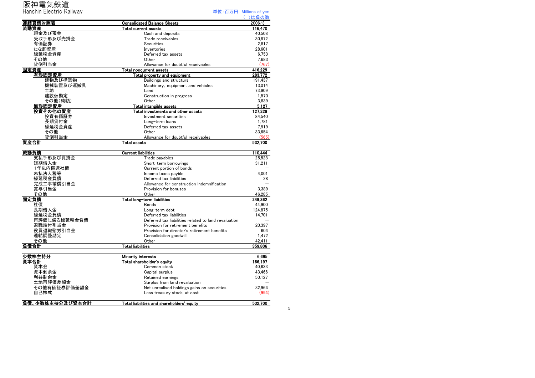## 阪神電気鉄道

| Hanshin Electric Railway |                                                      | 単位:百万円 Millions of yen |
|--------------------------|------------------------------------------------------|------------------------|
| 連結貸借対照表                  | <b>Consolidated Balance Sheets</b>                   | ( )は負の数<br>2006/3      |
| 流動資産                     | Total current assets                                 | 116,470                |
| 現金及び預金                   | Cash and deposits                                    | 40.508                 |
| 受取手形及び売掛金                | Trade receivables                                    | 30,872                 |
| 有価証券                     | Securities                                           | 2,817                  |
| たな卸資産                    | Inventories                                          | 28.601                 |
| 繰延税金資産                   | Deferred tax assets                                  | 6.753                  |
| その他                      | Other                                                | 7.683                  |
| 貸倒引当金                    | Allowance for doubtful receivables                   | (767)                  |
| 固定資産                     | <b>Total noncurrent assets</b>                       | 416,229                |
| 有形固定資産                   | Total property and equipment                         | 283,772                |
| 建物及び構築物                  | <b>Buildings and structurs</b>                       | 191.437                |
| 機械装置及び運搬具                | Machinery, equipment and vehicles                    | 13.014                 |
| 土地                       | Land                                                 | 73.909                 |
| 建設仮勘定                    | Construction in progress                             | 1.570                  |
| その他(純額)                  | Other                                                | 3.839                  |
| 無形固定資産                   | Total intangible assets                              | 5,127                  |
| 投資その他の資産                 | Total investments and other assets                   | 127.329                |
| 投資有価証券                   | Investment securities                                | 84,540                 |
| 長期貸付金                    | Long-term loans                                      | 1,781                  |
| 繰延税金資産                   | Deferred tax assets                                  | 7,919                  |
| その他                      | Other                                                | 33,654                 |
| 貸倒引当金                    | Allowance for doubtful receivables                   | (565)                  |
| 資産合計                     | <b>Total assets</b>                                  | 532,700                |
|                          |                                                      |                        |
| 流動負債                     | <b>Current liabilities</b>                           | 110,444                |
| 支払手形及び買掛金                | Trade payables                                       | 25.528                 |
| 短期借入金                    | Short-term borrowings                                | 31.211                 |
| 1年以内償還社債                 | Current portion of bonds                             |                        |
| 未払法人税等                   | Income taxes payble                                  | 4.001                  |
| 繰延税金負債                   | Deferred tax liabilities                             | 28                     |
| 完成工事補償引当金                | Allowance for construction indemnification           |                        |
| 賞与引当金                    | Provision for bonuses                                | 3.389                  |
| その他                      | Other                                                | 46,285                 |
| 固定負債                     | Total long-term liabilities                          | 249,362                |
| 社債                       | <b>Bonds</b>                                         | 44,900                 |
| 長期借入金                    | Long-term debt                                       | 124,875                |
| 繰延税金負債                   | Deferred tax liabilities                             | 14.701                 |
| 再評価に係る繰延税金負債             | Deferred tax liabilities related to land revaluation |                        |
| 退職給付引当金                  | Provision for retirement benefits                    | 20,397                 |
| 役員退職慰労引当金                | Provision for director's retirement benefits         | 604                    |
| 連結調整勘定                   | Consolidation goodwill                               | 1,472                  |
| その他                      | Other                                                | 42,411                 |
| 負債合計                     | <b>Total liabilities</b>                             | 359,806                |
|                          |                                                      |                        |
| 少数株主持分                   | Minority interests                                   | 6.695                  |
| 資本合計                     | Total shareholder's equity                           | 166.197                |
| 資本金                      | Common stock                                         | 40.633                 |
| 資本剰余金                    | Capital surplus                                      | 43.466                 |
| 利益剰余金                    | Retained earnings                                    | 50.127                 |
| 土地再評価差額金                 | Surplus from land revaluation                        |                        |
| その他有価証券評価差額金             | Net unrealised holdings gains on securities          | 32.964                 |
| 自己株式                     | Less treasury stock, at cost                         | (994)                  |

負債、少数株主持分及び資本合計

Total liabilities and shareholders' equity 532,700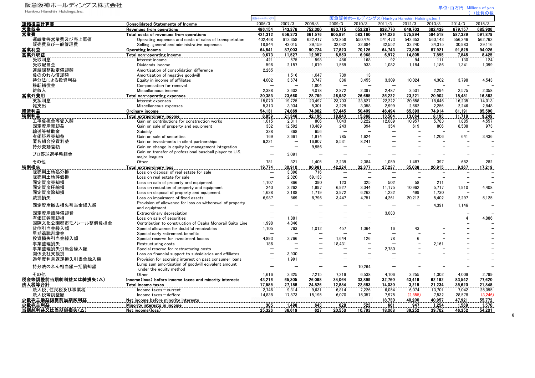Hankyu Hanshin Holdings, Inc.

|                          |                                                                                                                | 漁ホールディンク                 |                          |                          |                              | 阪急阪神ホールディングス(Hankvu Hanshin Holdings.Inc.) |                          |                   |                 |                                   |                   |
|--------------------------|----------------------------------------------------------------------------------------------------------------|--------------------------|--------------------------|--------------------------|------------------------------|--------------------------------------------|--------------------------|-------------------|-----------------|-----------------------------------|-------------------|
| 連結損益計算書                  | <b>Consolidated Statements of Income</b>                                                                       | 2006/3                   | 2007/3                   | 2008/3                   | 2009/3                       | 2010/3                                     | 2011/3                   | 2012/3            | 2013/3          | 2014/3                            | 2015/3            |
| 営業収益                     | Revenues from operations                                                                                       | 486,154                  | 743,376                  | 752,300                  | 683,715                      | 653,287                                    | 638.770                  | 649.703           | 682,439         | 679.157                           | 685,906           |
| 営業費                      | Total costs of revenues from operations                                                                        | 421.312                  | 656,373                  | 661,576                  | 605,891                      | 583,160                                    | 574,026                  | 575.894           | 594,518         | 587,329                           | 591,879           |
| 運輸業等営業費及び売上原価            | Operating expenses and costs of sales of transportation                                                        | 402,468                  | 613,358                  | 622,417                  | 573,858                      | 550,476                                    | 541,473                  | 542,653           | 560,143         | 556,346                           | 562,762           |
| 販売費及び一般管理費               | Selling, general and administrative expenses                                                                   | 18,844                   | 43,015                   | 39,159                   | 32,032                       | 32,684                                     | 32,552                   | 33,240            | 34,375          | 30,983                            | 29,116            |
| 営業利益                     | Operating income                                                                                               | 64.841                   | 87.003                   | 90.724                   | 77.823                       | 70.126                                     | 64.743                   | 73,809            | 87.921          | 91.828                            | 94.026            |
| 営業外収益                    | Total non-operating income                                                                                     | 9.673                    | 11.527                   | 12.957                   | 6.553                        | 6.968                                      | 6.972                    | 14.805            | 7.895           | 7.845                             | 8.425             |
| 受取利息                     | Interest income                                                                                                | 421                      | 575                      | 598                      | 486                          | 168                                        | 92                       | 94                | 111             | 130                               | $124$             |
| 受取配当金                    | Dividends income                                                                                               | 596                      | 2.157                    | 1.679                    | 1.569                        | 933                                        | 1.082                    | 1.184             | 1.186           | 1.341                             | 1.399             |
| 連結調整勘定償却額                | Amortisation of consolidation difference                                                                       | 2.265                    |                          |                          |                              |                                            |                          |                   |                 |                                   |                   |
| 負ののれん償却額                 | Amortisation of negative goodwill                                                                              | $\overline{\phantom{0}}$ | 1.516                    | 1.047                    | 739                          | 13                                         | $\overline{\phantom{0}}$ |                   |                 |                                   |                   |
| 持分法による投資利益               | Equity in income of affiliates                                                                                 | 4,002                    | 3.674                    | 3.747                    | 886                          | 3,455                                      | 3,309                    | 10,024            | 4,302           | 3,798                             | 4,543             |
| 移転補償金                    | Compensation for removal                                                                                       |                          |                          | 1.804                    | $\overline{\phantom{a}}$     |                                            |                          |                   |                 |                                   |                   |
| 雑収入                      | Miscellaneous income                                                                                           | 2.388                    | 3.602                    | 4.078                    | 2.872                        | 2.397                                      | 2.487                    | 3.501             | 2.294           | 2.575                             | 2.358             |
| 営業外費用                    | Total non-operating expenses                                                                                   | 20.383                   | 23.660                   | 28.799                   | 26.932                       | 26,685                                     | 25,222                   | 23.221            | 20.902          | 18.481                            | 16,862            |
| 支払利息                     | Interest expenses                                                                                              | 15.070                   | 19.725                   | 23.497                   | 23.703                       | 23.627                                     | 22.222                   | 20.558            | 18.646          | 16.235                            | 14.013            |
| 雑支出                      | Miscellaneous expenses                                                                                         | 5,313                    | 3.934                    | 5.301                    | 3,229                        | 3,058                                      | 2.999                    | 2.662             | 2,256           | 2.246                             | 2.848             |
| 経常利益                     | Ordinary income                                                                                                | 54.131                   | 74.869                   | 74.882                   | 57.445                       | 50.409                                     | 46.494                   | 65,393            | 74,914          | 81,191                            | 85,590            |
| 特別利益                     | Total extraordinary income                                                                                     | 8,859                    | 21.346                   | 42.196                   | 18,843                       | 15,868                                     | 13,504                   | 13,064            | 8.193           | 11,718                            | 9,249             |
| 工事負担金等受入額                | Gain on contributions for construction works                                                                   | 1,015                    | 2.311                    | 806                      | 7.043                        | 3,222                                      | 12,089                   | 10.957            | 5.783           | 1.885                             | 4,557             |
| 固定資産売却益                  | Gain on sale of property and equipment                                                                         | 332                      | 12.592                   | 10.489                   | 243<br>$\qquad \qquad -$     | 394<br>$\overline{\phantom{0}}$            | 354                      | 619               | 806             | 8.508<br>$\overline{\phantom{a}}$ | 973               |
| 輸送等補助金                   | Subsidv<br>Gain on sale of securities                                                                          | 338<br>169               | 368<br>2.661             | 656<br>1.974             | 785                          | 1.624                                      |                          |                   | 1.206           | 641                               | 3.436             |
| 有価証券売却益<br>匿名組合投資利益      | Gain on investments in silent partnerships                                                                     | 6.221                    | $\overline{\phantom{0}}$ | 16.907                   | 8.531                        | 8.241                                      |                          |                   |                 |                                   |                   |
| 持分変動差額                   |                                                                                                                | $\overline{\phantom{a}}$ | $\overline{\phantom{0}}$ | 9,956                    | $\overline{\phantom{a}}$     |                                            |                          |                   | ÷               | $\sim$                            |                   |
|                          | Gain on change in equity by management integration<br>Gain on transfer of professional baseball player to U.S. |                          |                          |                          |                              |                                            |                          |                   |                 |                                   |                   |
| プロ野球選手移籍金                | major leagues                                                                                                  | $\overline{\phantom{0}}$ | 3.091                    |                          | $\overline{\phantom{0}}$     |                                            |                          |                   |                 |                                   |                   |
| その他                      | Other                                                                                                          | 781                      | 321                      | 1,405                    | 2,239                        | 2,384                                      | 1,059                    | 1,487             | 397             | 682                               | 282               |
| 特別損失                     | Total extraordinary loss                                                                                       | 19,774                   | 30.910                   | 90,981                   | 42,224                       | 32,377                                     | 27,237                   | 35,038            | 20,915          | 9,367                             | 17,219            |
| 販売用土地処分損                 | Loss on disposal of real estate for sale                                                                       |                          | 3.398                    | 716                      | $\qquad \qquad \blacksquare$ | $\overline{\phantom{0}}$                   |                          |                   |                 |                                   |                   |
| 販売用土地評価損                 | Loss on real estate for sale                                                                                   | $\overline{\phantom{0}}$ | 2.320                    | 69.133                   | $\overline{\phantom{0}}$     | $\equiv$                                   | $\overline{\phantom{0}}$ |                   |                 | $\overline{\phantom{0}}$          |                   |
| 固定資産売却損                  | Loss on sale of property and equipment                                                                         | 1.107                    | 866                      | 390                      | 123                          | 325                                        | 502                      | 58                | 211             | $\overline{\phantom{0}}$          |                   |
| 固定資産圧縮損                  | Loss on reduction of property and equipment                                                                    | 240                      | 2.262                    | 1.997                    | 6.927                        | 3.044                                      | 11.175                   | 10.962            | 5.717           | 1.910                             | 4.408             |
| 固定資産除却損                  | Loss on disposal of property and equipment                                                                     | 1.638                    | 2.188                    | 1.719                    | 3.972                        | 6.262                                      | 1.232                    | 499               | 1.730           |                                   |                   |
| 減損損失                     | Loss on impairment of fixed assets                                                                             | 6,987                    | 869                      | 8.796                    | 3.447                        | 4,751                                      | 4,261                    | 20,212            | 5.402           | 2.297                             | 5,125             |
| 固定資産撤去損失引当金繰入額           | Provision of allowance for loss on withdrawal of property                                                      |                          |                          |                          |                              |                                            |                          |                   | 4.391           | 1.146                             |                   |
|                          | and equiptment                                                                                                 |                          |                          |                          |                              |                                            |                          |                   |                 |                                   |                   |
| 固定資産臨時償却費                | Extraordinary depreciation                                                                                     |                          |                          |                          |                              | $\overline{\phantom{0}}$                   | 3.083                    |                   |                 |                                   |                   |
| 有価証券売却損                  | Loss on sale of securities                                                                                     | $\equiv$                 | 1.881                    |                          | $\overline{\phantom{0}}$     | $\equiv$                                   | $\overline{\phantom{0}}$ |                   |                 | 4                                 | 4.886             |
| 国際文化公園都市モノレール整備負担金       | Contribution to construction of Osaka Monorail Saito Line                                                      | 1.998                    | 4.346                    | $\overline{\phantom{0}}$ | $\equiv$                     | $\overline{\phantom{0}}$                   |                          |                   |                 |                                   |                   |
| 貸倒引当金繰入額                 | Special allowance for doubtful receivables                                                                     | 1.105                    | 763                      | 1.012                    | 457                          | 1.064                                      | 16                       | 43                |                 |                                   |                   |
| 早期退職割増金                  | Special early retirement benefits                                                                              |                          |                          |                          |                              |                                            |                          |                   |                 |                                   |                   |
| 投資損失引当金繰入額               | Special reserve for investment losses                                                                          | 4,893                    | 2.766                    |                          | 1.644                        | 126                                        | 78                       | 6                 |                 |                                   |                   |
| 事業整理損失                   | Restructuring costs                                                                                            | 186                      |                          |                          | 18,431                       |                                            |                          |                   | 2,161           |                                   |                   |
| 事業整理損失引当金繰入額             | Special reserve for restructuring costs                                                                        |                          |                          |                          |                              | $\overline{\phantom{0}}$                   | 2,780                    |                   |                 |                                   |                   |
| 関係会社支援損                  | Loss on financial support to subsidiaries and affiliates                                                       |                          | 3.930                    |                          |                              | $\overline{\phantom{0}}$                   |                          |                   |                 |                                   |                   |
| 過年度利息返還損失引当金繰入額          | Provision for accruing interest on past consumer loans                                                         | $\sim$                   | 1.991                    |                          | $\overline{\phantom{0}}$     | $\overline{\phantom{0}}$                   | ÷                        |                   |                 |                                   |                   |
| 持分法のれん相当額一括償却額           | Lump sum amortisation of goodwill eqivalent amount                                                             |                          |                          |                          | $\qquad \qquad$              | 10,264                                     |                          |                   |                 |                                   |                   |
|                          | under the equity method                                                                                        |                          |                          |                          |                              |                                            |                          |                   |                 |                                   |                   |
| その他                      | Other                                                                                                          | 1,616                    | 3,325                    | 7,215                    | 7,219                        | 6,538                                      | 4,106                    | 3,255             | 1,302           | 4.009                             | 2,799             |
| 税金等調整前当期純利益又は純損失(△)      | Income (loss) before income taxes and minority interests                                                       | 43.216                   | 65.305                   | 26,098                   | 34.064                       | 33,899                                     | 32.760                   | 43.419            | 62.192          | 83,542                            | 77,620            |
| 法人税等合計                   | Total income taxes                                                                                             | 17,585<br>2.746          | 27.188<br>9.314          | 24,826<br>9.631          | 12.884<br>6.814              | 22,583<br>7.226                            | 14.030<br>6.054          | 3,219<br>6.074    | 21,234          | 35,620<br>7.042                   | 21,848<br>25.095  |
| 法人税、住民税及び事業税             | Income taxes-current                                                                                           |                          |                          |                          |                              |                                            |                          |                   | 13,701          |                                   |                   |
| 法人税等調整額                  | Income taxes-defferd                                                                                           | 14.838                   | 17.873                   | 15.195                   | 6.070                        | 15.357                                     | 7.975<br>18.730          | (2.855)<br>40.200 | 7.532<br>40.957 | 28.578<br>47.921                  | (3.246)<br>55.772 |
| 少数株主損益調整前当期純利益<br>少数株主利益 | Net income before minority interests<br>Minority interests in income                                           | 305                      | 1.498                    | 643                      | 628                          | 523                                        | 661                      | 947               | 1.254           | 1.569                             | 1.570             |
| 当期純利益又は当期純損失(△)          | Net income (loss)                                                                                              | 25.326                   | 36.619                   | 627                      | 20.550                       | 10.793                                     | 18.068                   | 39.252            | 39.702          | 46.352                            | 54.201            |
|                          |                                                                                                                |                          |                          |                          |                              |                                            |                          |                   |                 |                                   |                   |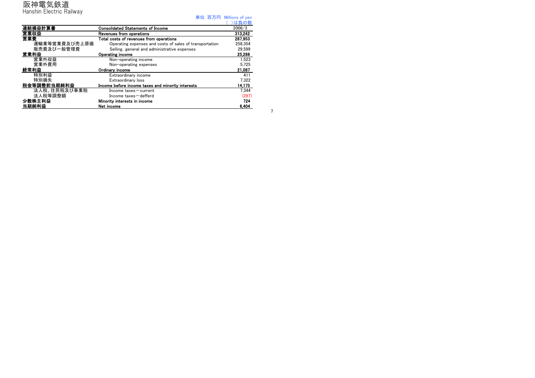#### 阪神電気鉄道 Hanshin Electric Railway

|               |                                                         | 単位:百万円 Millions of yen |
|---------------|---------------------------------------------------------|------------------------|
|               |                                                         | は負の数                   |
| 連結損益計算書       | <b>Consolidated Statements of Income</b>                | 2006/3                 |
| 営業収益          | Revenues from operations                                | 313.242                |
| 営業費           | Total costs of revenues from operations                 | 287.953                |
| 運輸業等営業費及び売上原価 | Operating expenses and costs of sales of transportation | 258.354                |
| 販売費及び一般管理費    | Selling, general and administrative expenses            | 29.599                 |
| 営業利益          | Operating income                                        | 25,288                 |
| 営業外収益         | Non-operating income                                    | 1.523                  |
| 営業外費用         | Non-operating expenses                                  | 5.725                  |
| 経常利益          | Ordinary income                                         | 21,087                 |
| 特別利益          | Extraordinary income                                    | 411                    |
| 特別損失          | Extraordinary loss                                      | 7.322                  |
| 税金等調整前当期純利益   | Income before income taxes and minority interests       | 14.175                 |
| 法人税、住民税及び事業税  | Income taxes - current                                  | 7.344                  |
| 法人税等調整額       | Income taxes - defferd                                  | (297)                  |
| 少数株主利益        | Minority interests in income                            | 724                    |
| 当期純利益         | Net income                                              | 6.404                  |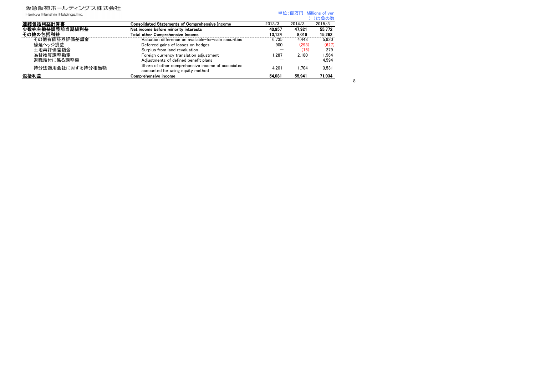#### 阪急阪神ホールディングス株式会社 . . . .

| <b>EXACARATTYIY / D</b> 2 1 2 2 2 YVIAN 4 N 14<br>Hankvu Hanshin Holdings, Inc. |                                                                                        |        | 単位:百万円 Millions of yen |        |
|---------------------------------------------------------------------------------|----------------------------------------------------------------------------------------|--------|------------------------|--------|
|                                                                                 |                                                                                        |        |                        | )は負の数  |
| 連結包括利益計算書                                                                       | <b>Consolidated Statements of Comprehensive Income</b>                                 | 2013/3 | 2014/3                 | 2015/3 |
| 少数株主損益調整前当期純利益                                                                  | Net income before minority interests                                                   | 40.957 | 47.921                 | 55.772 |
| その他の包括利益                                                                        | Total other Comprehensive Income                                                       | 13.124 | 8.019                  | 15.262 |
| その他有価証券評価差額金                                                                    | Valuation difference on available-for-sale securities                                  | 6.735  | 4.443                  | 5.920  |
| 繰延ヘッジ損益                                                                         | Deferred gains of losses on hedges                                                     | 900    | (293)                  | (627)  |
| 土地再評価差額金                                                                        | Surplus from land revaluation                                                          |        | (15)                   | 279    |
| 為替換算調整勘定                                                                        | Foreign currency translation adjustment                                                | 1.287  | 2.180                  | .564   |
| 退職給付に係る調整額                                                                      | Adjustments of defined benefit plans                                                   |        |                        | 4.594  |
| 持分法適用会社に対する持分相当額                                                                | Share of other comprehensive income of associates<br>accounted for using equity method | 4.201  | 1.704                  | 3.531  |
| 包括利益                                                                            | Comprehensive income                                                                   | 54.081 | 55.941                 | 71.034 |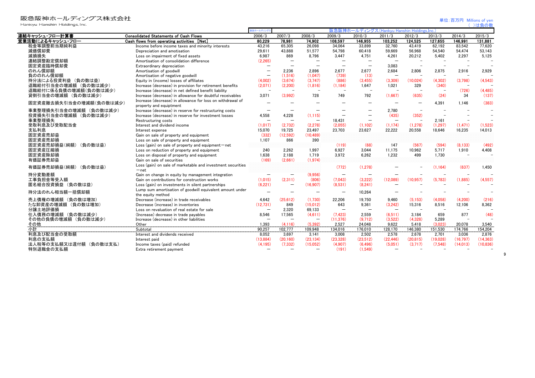Hankyu Hanshin Holdings, Inc.

|                         |                                                             | 阪急阪神ホールディングス (Hankvu Hanshin Holdings.Inc.)<br>飯急ホールディング |                          |                          |                          |                          |                          |                          |                          |                          |                          |
|-------------------------|-------------------------------------------------------------|----------------------------------------------------------|--------------------------|--------------------------|--------------------------|--------------------------|--------------------------|--------------------------|--------------------------|--------------------------|--------------------------|
| 連結キャッシュ・フロー計算書          | <b>Consolidated Statements of Cash Flows</b>                | 2006/3                                                   | 2007/3                   | 2008/3                   | 2009/3                   | 2010/3                   | 2011/3                   | 2012/3                   | 2013/3                   | 2014/3                   | 2015/3                   |
| 営業活動によるキャッシュ・フロー        | Cash flows from operating activities [Net]                  | 80.229                                                   | 78.981                   | 74,902                   | 108.597                  | 146.955                  | 103.252                  | 124.525                  | 127,655                  | 146,991                  | 131.881                  |
| 税金等調整前当期純利益             | Income before income taxes and minority interests           | 43.216                                                   | 65.305                   | 26.098                   | 34.064                   | 33.899                   | 32.760                   | 43.419                   | 62.192                   | 83.542                   | 77.620                   |
| 減価償却費                   | Depreciation and amotisation                                | 29,611                                                   | 43.888                   | 51,577                   | 54.798                   | 60.418                   | 59.669                   | 56.968                   | 54,540                   | 54,474                   | 53.143                   |
| 減損損失                    | Loss on impairment of fixed assets                          | 6.987                                                    | 869                      | 8.796                    | 3.447                    | 4.751                    | 4.261                    | 20.212                   | 5.402                    | 2.297                    | 5,125                    |
| 連結調整勘定償却額               | Amortisation of consolidation difference                    | (2,265)                                                  | $\overline{\phantom{m}}$ |                          |                          | $\overline{\phantom{m}}$ | $\overline{\phantom{0}}$ |                          |                          |                          |                          |
| 固定資産臨時償却費               | Extraordinary depreciation                                  | $\overline{\phantom{m}}$                                 |                          |                          |                          |                          | 3.083                    | $\overline{\phantom{0}}$ |                          |                          |                          |
| のれん償却額                  | Amortisation of goodwill                                    | $\overline{\phantom{m}}$                                 | 2.236                    | 2.896                    | 2.677                    | 2.677                    | 2.684                    | 2.806                    | 2.875                    | 2.916                    | 2,929                    |
| 負ののれん償却額                | Amortisation of negative goodwill                           | $\overline{\phantom{m}}$                                 | (1.516)                  | (1.047)                  | (739)                    | (13)                     | $\overline{\phantom{0}}$ |                          |                          | $\overline{\phantom{0}}$ |                          |
| 持分法による投資利益 (負の数は益)      | Equity in (income) losses of affiliates                     | (4.002)                                                  | (3.674)                  | (3.747)                  | (886)                    | (3.455)                  | (3.309)                  | (10.024)                 | (4.302)                  | (3.798)                  | (4,543)                  |
| 退職給付引当金の増減額 (負の数は減少)    | Increase (decrease) in provision for retirement benefits    | (2.071)                                                  | (2.200)                  | (1.816)                  | (1.184)                  | 1.647                    | 1.021                    | 329                      | (340)                    | $\overline{a}$           |                          |
| 退職給付に係る負債の増減額(負の数は減少)   | Increase (decrease) in net defined benefit liability        | $\equiv$                                                 | $\overline{\phantom{a}}$ | $\equiv$                 |                          |                          |                          |                          |                          | (726)                    | (4, 485)                 |
| 貸倒引当金の増減額 (負の数は減少)      | Increase (decrease) in allowance for doubtful receivables   | 3,071                                                    | (3.992)                  | 728                      | 749                      | 792                      | (1,667)                  | (635)                    | (24)                     | 34                       | (137)                    |
|                         | Increase (decrease) in allowance for loss on withdrawal of  |                                                          |                          |                          |                          |                          |                          |                          |                          |                          |                          |
| 固定資産撤去損失引当金の増減額(負の数は減少) | property and equiptment                                     |                                                          |                          |                          |                          | $\overline{\phantom{0}}$ |                          |                          | 4,391                    | 1.146                    | (383)                    |
| 事業整理損失引当金の増減額 (負の数は減少)  | Increase (decrease) in reserve for restructuring costs      |                                                          |                          |                          |                          |                          | 2.780                    | $\overline{\phantom{0}}$ |                          |                          |                          |
| 投資損失引当金の増減額 (負の数は減少)    | Increase (decrease) in reserve for investment losses        | 4,558                                                    | 4.228                    | (1, 115)                 | $\overline{\phantom{m}}$ |                          | (435)                    | (352)                    | $\overline{\phantom{a}}$ | $\overline{\phantom{a}}$ | $\overline{\phantom{0}}$ |
| 事業整理損失                  | Restructuring costs                                         |                                                          |                          | $\overline{\phantom{m}}$ | 18,431                   | $\overline{\phantom{0}}$ | $\overline{\phantom{a}}$ | $\overline{\phantom{0}}$ | 2,161                    | $\overline{\phantom{a}}$ |                          |
| 受取利息及び受取配当金             | Interest and dividend income                                | (1.017)                                                  | (2.732)                  | (2,278)                  | (2.055)                  | (1.102)                  | (1.174)                  | (1,278)                  | (1, 297)                 | (1,471)                  | (1,523)                  |
| 支払利息                    | Interest expense                                            | 15.070                                                   | 19.725                   | 23.497                   | 23.703                   | 23.627                   | 22.222                   | 20.558                   | 18.646                   | 16.235                   | 14.013                   |
| 固定資産売却益                 | Gain on sale of property and equipment                      | (332)                                                    | (12,592)                 | (10.489)                 |                          |                          |                          |                          |                          |                          |                          |
| 固定資産売却損                 | Loss on sale of property and equipment                      | 1.107                                                    | 866                      | 390                      |                          |                          |                          |                          |                          |                          |                          |
| 固定資産売却損益(純額)<br>(負の数は益) | Loss (gain) on sale of property and equipment-net           |                                                          |                          |                          | (119)                    | (68)                     | 147                      | (567)                    | (594)                    | (8.133)                  | (492)                    |
| 固定資産圧縮損                 | Loss on reduction of property and equipment                 | 240                                                      | 2.262                    | 1.997                    | 6,927                    | 3.044                    | 11,175                   | 10,962                   | 5.717                    | 1,910                    | 4,408                    |
| 固定資産除却損                 | Loss on disposal of property and equipment                  | 1.638                                                    | 2.188                    | 1.719                    | 3.972                    | 6.262                    | 1.232                    | 499                      | 1.730                    | $\overline{\phantom{a}}$ |                          |
| 有価証券売却益                 | Gain on sale of securities                                  | (169)                                                    | (2.661)                  | (1.974)                  |                          |                          |                          |                          |                          |                          |                          |
|                         | Loss (gain) on sale of marketable and investment securities |                                                          |                          |                          |                          |                          |                          |                          |                          |                          |                          |
| 有価証券売却損益(純額)<br>(負の数は益) | $-$ net                                                     |                                                          |                          |                          | (772)                    | (1.278)                  |                          |                          | (1.164)                  | (637)                    | 1.450                    |
| 持分変動差額                  | Gain on change in equity by management integration          |                                                          |                          | (9,956)                  | $\overline{\phantom{m}}$ | $\overline{\phantom{m}}$ |                          |                          |                          | $\overline{\phantom{a}}$ |                          |
| 工事負担金等受入額               | Gain on contributions for construction works                | (1.015)                                                  | (2.311)                  | (806)                    | (7.043)                  | (3.222)                  | (12.089)                 | (10.957)                 | (5.783)                  | (1,885)                  | (4,557)                  |
| 匿名組合投資損益 (負の数は益)        | Loss (gain) on investments in silent partnerships           | (6.221)                                                  | $\overline{\phantom{m}}$ | (16.907)                 | (8.531)                  | (8.241)                  |                          |                          |                          |                          |                          |
|                         | Lump sum amortisation of goodwill equivalent amount under   | $\overline{\phantom{0}}$                                 |                          | $\equiv$                 |                          |                          |                          |                          |                          |                          |                          |
| 持分法のれん相当額一括償却額          | the equity method                                           |                                                          |                          |                          | $\overline{\phantom{a}}$ | 10.264                   |                          |                          |                          |                          |                          |
| 売上債権の増減額 (負の数は増加)       | Decrease (increase) in trade receivables                    | 4.642                                                    | (25.612)                 | (1.730)                  | 22.206                   | 19.750                   | 9.460                    | (5.153)                  | (4.058)                  | (4.200)                  | (216)                    |
| たな卸資産の増減額 (負の数は増加)      | Decrease (increase) in inventories                          | (12,731)                                                 | 849                      | (15.012)                 | 643                      | 9,361                    | (3,242)                  | 15,316                   | 8.516                    | 12.106                   | 8,362                    |
| 分譲土地評価損                 | Loss on revaluation of real estate for sale                 | $\overline{\phantom{m}}$                                 | 2.320                    | 69.133                   | $\overline{\phantom{m}}$ | $\overline{\phantom{0}}$ | $\overline{\phantom{m}}$ | $\overline{\phantom{a}}$ |                          |                          |                          |
| 仕入債務の増減額 (負の数は減少)       | (Increase) decrease in trade payables                       | 8,546                                                    | 17.565                   | (4,611)                  | (7, 423)                 | 2,559                    | (6.511)                  | 3,184                    | 659                      | 877                      | (48)                     |
| その他の負債の増減額 (負の数は減少)     | Increase (decrease) in other liabilities                    |                                                          | $\overline{\phantom{0}}$ | $\overline{\phantom{m}}$ | (11, 376)                | (9.712)                  | (3.522)                  | (4,328)                  | 5.289                    | $\overline{a}$           |                          |
| その他                     | Other                                                       | 1.393                                                    | (4.116)                  | (5.392)                  | 2.527                    | 24.048                   | 9.622                    | 5.418                    | (3.023)                  | 20.078                   | 3.540                    |
| 小計                      | Subtotal                                                    | 90,257                                                   | 102.777                  | 109.948                  | 134.016                  | 176.010                  | 128.170                  | 146.380                  | 151.530                  | 174,766                  | 154,204                  |
| 利息及び配当金の受取額             | Interest and dividends received                             | 8.052                                                    | 3.697                    | 3.141                    | 3.008                    | 2.502                    | 2.578                    | 2.678                    | 2.701                    | 3.036                    | 2.876                    |
| 利息の支払額                  | Interest paid                                               | (13, 884)                                                | (20.160)                 | (23.134)                 | (23.328)                 | (23.512)                 | (22, 446)                | (20.815)                 | (19.028)                 | (16.797)                 | (14.363)                 |
| 法人税等の支払額又は還付額 (負の数は支払)  | Income taxes (paid) refunded                                | (4, 195)                                                 | (7, 332)                 | (15.052)                 | (4,907)                  | (6.496)                  | (5,051)                  | (3,717)                  | (7.548)                  | (14.013)                 | (10, 836)                |
| 特別退職金の支払額               | Extra retirement payment                                    |                                                          |                          |                          | (191)                    | (1.549)                  |                          |                          |                          | $\overline{\phantom{a}}$ |                          |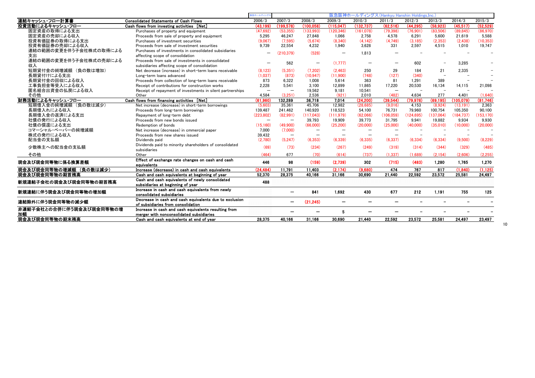|                                |                                                                                                  | 阪急ホールディング                |                          |                          |                          | 阪急阪神ホールディングス(Hankyu Hanshin Holdings,Inc.) |                          |                          |           |           |            |
|--------------------------------|--------------------------------------------------------------------------------------------------|--------------------------|--------------------------|--------------------------|--------------------------|--------------------------------------------|--------------------------|--------------------------|-----------|-----------|------------|
| 連結キャッシュ・フロー計算書                 | <b>Consolidated Statements of Cash Flows</b>                                                     | 2006/3                   | 2007/3                   | 2008/3                   | 2009/3                   | 2010/3                                     | 2011/3                   | 2012/3                   | 2013/3    | 2014/3    | 2015/3     |
| 投資活動によるキャッシュ・フロー               | Cash flows from investing activities [Net]                                                       | (43.199)                 | (199.578)                | (100.058)                | (115.047)                | (132.737)                                  | (62.516)                 | (44.295)                 | (58.923)  | (45.517)  | (52.529)   |
| 固定資産の取得による支出                   | Purchases of property and equipment                                                              | (47.692)                 | (53.355)                 | (133.993)                | (120.346)                | (161.078)                                  | (79.398)                 | (76.901)                 | (83.506)  | (89.845)  | (86.970)   |
| 固定資産の売却による収入                   | Proceeds from sale of property and equipment                                                     | 5.295                    | 46.247                   | 27.848                   | 1.066                    | 2.758                                      | 4.578                    | 6.291                    | 5.600     | 21.619    | 5.588      |
| 投資有価証券の取得による支出                 | Purchases of investment securities                                                               | (9.067)                  | (7.595)                  | (5.674)                  | (8.340)                  | (4.142)                                    | (4.749)                  | (3.185)                  | (2.353)   | (2.438)   | (10.353)   |
| 投資有価証券の売却による収入                 | Proceeds from sale of investment securities                                                      | 9.739                    | 22,554                   | 4.232                    | 1.940                    | 3.628                                      | 331                      | 2.597                    | 4.515     | 1.010     | 19.747     |
| 連結の範囲の変更を伴う子会社株式の取得による         | Purchases of investments in consolidated subsidiaries                                            | $\overline{\phantom{0}}$ | (210.379)                | (528)                    | $\overline{\phantom{m}}$ | 1.813                                      |                          |                          |           |           |            |
| 支出                             | affecting scope of consolidation                                                                 |                          |                          |                          |                          |                                            |                          |                          |           |           |            |
| 連結の範囲の変更を伴う子会社株式の売却による         | Proceeds from sale of investments in consolidated                                                |                          | 562                      | $\overline{\phantom{0}}$ | (1.777)                  |                                            |                          | 602                      |           | 3,285     |            |
| 収入                             | subsidiaries affecting scope of consolidation                                                    |                          |                          |                          |                          |                                            |                          |                          |           |           |            |
| 短期貸付金の純増減額 (負の数は増加)            | Net decrease (increase) in short-term loans receivable                                           | (8.123)                  | (5.351)                  | (7.202)                  | (2.463)                  | 250                                        | 29                       | 184                      | 21        | 2.335     |            |
| 長期貸付けによる支出                     | Long-term loans advanced                                                                         | (1.037)                  | (873)                    | (10.947)                 | (11.900)                 | (748)                                      | (127)                    | (340)                    |           |           |            |
| 長期貸付金の回収による収入                  | Proceeds from collection of long-term loans receivable                                           | 873                      | 6,322                    | 1.008                    | 5.614                    | 363                                        | 81                       | 1,291                    | 389       |           |            |
| 工事負担金等受入による収入                  | Receipt of contributions for construction works                                                  | 2,228                    | 5,541                    | 3.100                    | 12.899                   | 11.865                                     | 17,220                   | 20,530                   | 16,134    | 14,115    | 21,098     |
| 匿名組合出資金の払戻による収入                | Receipt of repayment of investments in silent partnerships                                       |                          |                          | 19,562                   | 9,181                    | 10,541                                     |                          |                          |           |           |            |
| その他                            | Other                                                                                            | 4.584                    | (3.251)                  | 2.536                    | (921)                    | 2.010                                      | (482)                    | 4.634                    | 277       | 4.401     | (1.640)    |
| 財務活動によるキャッシュ・フロー               | Cash flows from financing activities [Net]                                                       | (61.960)                 | 132.289                  | 36.718                   | 7.014                    | (24.200)                                   | (39.544)                 | (79.978)                 | (69.195)  | (105.079) | (81.746)   |
| 短期借入金の純増減額 (負の数は減少)            | Net increase (decrease) in short-term borrowings                                                 | (5.603)                  | 35,361                   | 45.706                   | 12,982                   | (28.685)                                   | (9,016)                  | 4,153                    | (8.924)   | (13.191)  | 2.363      |
| 長期借入れによる収入                     | Proceeds from long-term borrowings                                                               | 139.487                  | 241.462                  | 140.920                  | 118.523                  | 54.100                                     | 76.731                   | 79.960                   | 100.754   | 105.350   | 90.100     |
| 長期借入金の返済による支出                  | Repayment of long-term debt                                                                      | (223, 802)               | (82,991)                 | (117,043)                | (111.979)                | (62,066)                                   | (106, 059)               | (124, 695)               | (137,064) | (184.737) | (153, 170) |
| 社債の発行による収入                     | Proceeds from new bonds issued                                                                   |                          |                          | 39.793                   | 19.909                   | 39.773                                     | 31.795                   | 9.941                    | 19.882    | 9.934     | 9.930      |
| 社債の償還による支出                     | Redemption of bonds                                                                              | (15.160)                 | (49.900)                 | (66,000)                 | (25, 200)                | (20,000)                                   | (25,000)                 | (40,000)                 | (35,010)  | (10,000)  | (20,000)   |
| コマーシャル・ペーパーの純増減額               | Net increase (decrease) in cmmercial paper                                                       | 7.000                    | (7.000)                  |                          | $\overline{\phantom{m}}$ |                                            | $\overline{\phantom{0}}$ | $\overline{\phantom{m}}$ |           |           |            |
| 株式の発行による収入                     | Proceeds from new shares issued                                                                  | 39,432                   | $\overline{\phantom{0}}$ | $\overline{\phantom{m}}$ | $\overline{\phantom{m}}$ | $\overline{\phantom{m}}$                   |                          |                          |           |           |            |
| 配当金の支払額                        | Dividends paid                                                                                   | (2.780)                  | (5,247)                  | (6, 353)                 | (6.339)                  | (6.335)                                    | (6.337)                  | (6, 334)                 | (6, 334)  | (9,500)   | (8, 229)   |
| 少数株主への配当金の支払額                  | Dividends paid to minority shareholders of consolidated                                          | (69)                     | (73)                     | (234)                    | (267)                    | (249)                                      | (319)                    | (314)                    | (344)     | (329)     | (485)      |
|                                | subsidiaries                                                                                     |                          |                          |                          |                          |                                            |                          |                          |           |           |            |
| その他                            | Other                                                                                            | (464)                    | 677                      | (70)                     | (614)                    | (737)                                      | (1.337)                  | (1.689)                  | (2.154)   | (2.606)   | (2, 255)   |
| 現金及び現金同等物に係る換算差額               | Effect of exchange rate changes on cash and cash                                                 | 446                      | 98                       | (159)                    | (2.739)                  | 302                                        | (715)                    | (483)                    | 1.280     | 1.765     | 1.270      |
|                                | equivalents                                                                                      |                          |                          |                          |                          |                                            |                          |                          |           |           |            |
| 現金及び現金同等物の増減額 (負の数は減少)         | Increase (decrease) in cash and cash equivalents                                                 | (24.484)                 | 11,791                   | 11,403                   | (2.174)                  | (9.680)                                    | 474                      | 767                      | 817       | (1,840)   | (1, 125)   |
| 現金及び現金同等物の期首残高                 | Cash and cash equivalents at beginning of year                                                   | 52.370                   | 28.375                   | 40.166                   | 31.166                   | 30.690                                     | 21.440                   | 22.592                   | 23.572    | 25.581    | 24.497     |
| 新規連結子会社の現金及び現金同等物の期首残高         | Cash and cash equivalents of newly consolidated<br>subsidiaries at beginning of year             | 488                      |                          |                          |                          |                                            |                          |                          |           |           |            |
| 新規連結に伴う現金及び現金同等物の増加額           | Increase in cash and cash equivalents from newly<br>consolidated subsidiaries                    |                          |                          | 841                      | 1.692                    | 430                                        | 677                      | 212                      | 1.191     | 755       | 125        |
| 連結除外に伴う現金同等物の減少額               | Decrease in cash and cash equivalents due to exclusion<br>of subsidiaries from consolidation     |                          | -                        | (21, 245)                | $\qquad \qquad$          | -                                          |                          |                          |           |           |            |
| 非連結子会社との合併に伴う現金及び現金同等物の増<br>加額 | Increase in cash and cash equivalents resulting from<br>merger with nonconsolidated subsidiaries |                          |                          |                          | 5                        | —                                          |                          |                          |           |           |            |
| 現金及び現金同等物の期末残高                 | Cash and cash equivalents at end of year                                                         | 28.375                   | 40.166                   | 31.166                   | 30.690                   | 21,440                                     | 22.592                   | 23.572                   | 25.581    | 24.497    | 23.497     |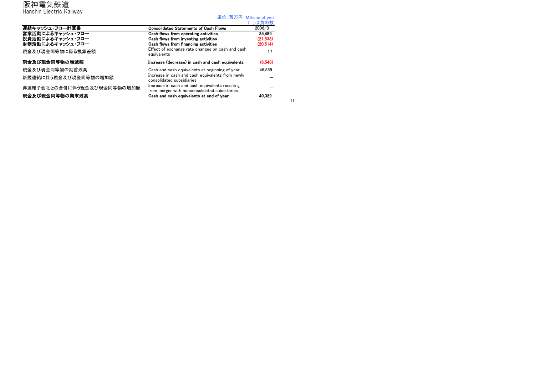#### 阪神電気鉄道 Hanshin Electric Railway

|                            | 単位:百万円 Millions of ven                                                                           | )は負の数    |
|----------------------------|--------------------------------------------------------------------------------------------------|----------|
| 連結キャッシュ・フロー計算書             | <b>Consolidated Statements of Cash Flows</b>                                                     | 2006/3   |
| 営業活動によるキャッシュ・フロー           | Cash flows from operating activities                                                             | 35.489   |
| 投資活動によるキャッシュ・フロー           | Cash flows from investing activities                                                             | (21.533) |
| 財務活動によるキャッシュ・フロー           | Cash flows from financing activities                                                             | (20.514) |
| 現金及び現金同等物に係る換算差額           | Effect of exchange rate changes on cash and cash<br>equivalents                                  | 17       |
| 現金及び現金同等物の増減額              | Increase (decrease) in cash and cash equivalents                                                 | (6.540)  |
| 現金及び現金同等物の期首残高             | Cash and cash equivalents at beginning of year                                                   | 46.869   |
| 新規連結に伴う現金及び現金同等物の増加額       | Increase in cash and cash equivalents from newly<br>consolidated subsidiaries                    |          |
| 非連結子会社との合併に伴う現金及び現金同等物の増加額 | Increase in cash and cash equivalents resulting<br>from merger with nonconsolidated subsidiaries |          |
| 現金及び現金同等物の期末残高             | Cash and cash equivalents at end of year                                                         | 40.329   |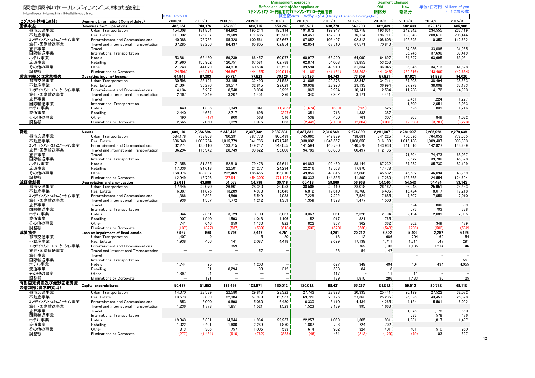|                               |                                                       |                          |                          |                   |                          | Management approach      |                                                                       |                          |                  |                  | Segment changed   |                          |                                  |
|-------------------------------|-------------------------------------------------------|--------------------------|--------------------------|-------------------|--------------------------|--------------------------|-----------------------------------------------------------------------|--------------------------|------------------|------------------|-------------------|--------------------------|----------------------------------|
|                               | 阪急阪神ホールディングス株式会社                                      |                          |                          |                   |                          |                          | Before application After application<br>マネジメントアプロ−チ適用前!マネジメントアプロ−チ適用後 |                          |                  | Old<br>旧区分       | New<br>新区分        |                          | 単位:百万円 Millions of yen<br>()は負の数 |
| Hankyu Hanshin Holdings, Inc. |                                                       | 阪急ホールディング                |                          |                   |                          | 阪急                       | 阪神ホールディングス(Hankyu Hanshin Holdings,Inc.)                              |                          |                  |                  |                   |                          |                                  |
| セグメント情報(連結)                   | Segment Information (Consolidated)                    | 2006/3                   | 2007/3                   | 2008/3            | 2009/3                   | 2010/3                   | 2010/3                                                                | 2011/3                   | 2012/3           | 2013/3           | 2013/3            | 2014/3                   | 2015/3                           |
| 営業収益                          | <b>Revenues from Operations</b>                       | 486,154                  | 743.376                  | 752.300           | 683.715                  | 653.287                  | 653.287                                                               | 638.770                  | 649.703          | 682.439          | 682,439           | 679.157                  | 685,906                          |
| 都市交通事業                        | Urban Transportation                                  | 154,008                  | 181,854                  | 194,902           | 195,244                  | 195,114                  | 191,872                                                               | 192,947                  | 192,718          | 193,631          | 249,342           | 234,555                  | 233,419                          |
| 不動産事業                         | <b>Real Estate</b>                                    | 111,802                  | 176,337                  | 179,689           | 171,685                  | 169,205                  | 168,451                                                               | 152,730                  | 176,114          | 196,711          | 198,343           | 208,610                  | 206,444                          |
| エンタテインメント・コミュニケーション事業         | Entertainment and Communications                      | 40,088                   | 75,732                   | 95,328            | 100,561                  | 103,667                  | 107,852                                                               | 103,407                  | 102,313          | 108,608          | 102,695           | 110,350                  | 112,632                          |
| 旅行・国際輸送事業                     | Travel and International Transportation               | 67,285                   | 88,256                   | 94.437            | 65.805                   | 62,854                   | 62,854                                                                | 67,710                   | 67,571           | 70,840           |                   |                          |                                  |
| 旅行事業                          | Travel                                                |                          |                          |                   |                          |                          |                                                                       |                          |                  |                  | 34.086            | 33,006                   | 31,965                           |
| 国際輸送事業                        | International Transportation                          |                          |                          |                   |                          |                          |                                                                       |                          |                  |                  | 36,745            | 37,696                   | 39,419                           |
| ホテル事業                         | Hotels                                                | 53,861                   | 65,430                   | 69,239            | 66,457                   | 60,977                   | 60,977                                                                | 65,220                   | 64,090           | 64,697           | 64,697            | 63,695                   | 63,031                           |
| 流通事業<br>その他の事業                | Retailing<br>Other                                    | 61,960<br>21,743         | 155,902<br>44,079        | 120,751<br>44,818 | 67,581<br>60,534         | 62,788<br>39,591         | 62,874<br>39,594                                                      | 54,008<br>43,910         | 53,853<br>31,334 | 53,253<br>36,045 | 36,045            | 34,713                   | 41,678                           |
| 調整額                           | Eliminations or Corporate                             | (24.596)                 | (44.216)                 | (46.867)          | (44.155)                 | (40.911)                 | (41.189)                                                              | (41.164)                 | (38.293)         | (41.348)         | (39.516)          | (43.469)                 | (42.684)                         |
| 営業利益又は営業損失                    | Operating income (losses)                             | 64.841                   | 87.003                   | 90.724            | 77,823                   | 70.126                   | 70.126                                                                | 64.743                   | 73,809           | 87.921           | 87.921            | 91.828                   | 94.026                           |
| 都市交通事業                        | Urban Transportation                                  | 30,598                   | 33,194                   | 33,155            | 32,490                   | 31,552                   | 31,008                                                                | 29,378                   | 32,342           | 34,711           | 37,208            | 38,494                   | 38,553                           |
| 不動産事業                         | <b>Real Estate</b>                                    | 21,604                   | 36,276                   | 39,517            | 32,815                   | 29,629                   | 30,938                                                                | 23,996                   | 29,133           | 36,994           | 37,278            | 38,008                   | 37,173                           |
| エンタテインメント・コミュニケーション事業         | <b>Entertainment and Communications</b>               | 4,134                    | 5,237                    | 8,548             | 8,384                    | 9,292                    | 11,068                                                                | 9,994                    | 10,141           | 12,584           | 11,238            | 14,172                   | 14,993                           |
| 旅行・国際輸送事業                     | Travel and International Transportation               | 2.467                    | 4.249                    | 3,207             | 1.451                    | 276                      | 340                                                                   | 2.952                    | 3.171            | 4,441            |                   |                          |                                  |
| 旅行事業                          | Travel                                                |                          |                          |                   |                          |                          |                                                                       |                          |                  |                  | 2,451             | 1,224                    | 1,227                            |
| 国際輸送事業                        | International Transportation                          |                          |                          |                   |                          |                          |                                                                       |                          |                  |                  | 1,809             | 2,051                    | 3,053                            |
| ホテル事業                         | Hotels                                                | 440                      | 1,336                    | 1,349             | 341                      | (1,705)                  | (1,674)                                                               | (639)                    | (269)            | 525              | 525               | 809                      | 1,216                            |
| 流通事業                          | Retailing                                             | 2,440                    | 4,664                    | 2,717             | 696                      | (297)                    | 351                                                                   | 713                      | 1,333            | 1,387            |                   |                          |                                  |
| その他の事業                        | Other                                                 | 490                      | (17)                     | 900               | 568                      | 516                      | 538                                                                   | 450                      | 761              | 307              | 307               | 849                      | 1,032                            |
| 調整額                           | Eliminations or Corporate                             | 2,665                    | 2,060                    | 1,329             | 1,075                    | 863                      | (2.445)                                                               | (2.103)                  | (2.804)          | (3.031)          | (2.898)           | (3.781)                  | (3,223)                          |
| 資産                            | Assets                                                | 1,609,116                | 2,366,694                | 2,348,476         | 2,307,332                | 2,337,331                | 2,337,331                                                             | 2,314.669                | 2,274,380        | 2,281,007        | 2,281,007         | 2,286,928                | 2,279,638                        |
| 都市交通事業                        | Urban Transportation                                  | 584,178                  | 738,803                  | 760,391           | 787,773                  | 806,499                  | 745,660                                                               | 742,889                  | 738,681          | 741,225          | 760,596           | 764,053                  | 778,565                          |
| 不動産事業                         | <b>Real Estate</b>                                    | 606,048                  | 1,008,764                | 1,015,779         | 1,041,786                | 1,071,745                | 1,038,002                                                             | 1,045,557                | 1,008,850        | 1,016,188        | 1,016,188         | 1,009,407                | 993,303                          |
| エンタテインメント・コミュニケーション事業         | <b>Entertainment and Communications</b>               | 62,274                   | 130,110                  | 133,715           | 149,247                  | 148,055                  | 141,594                                                               | 140,730                  | 140,578          | 143,933          | 141,616           | 142,827                  | 143,239                          |
| 旅行·国際輸送事業                     | Travel and International Transportation               | 86,294                   | 116,942                  | 128,749           | 93,622                   | 96,006                   | 94,785                                                                | 80,808                   | 100,497          | 112,136          |                   |                          |                                  |
| 旅行事業                          | Travel                                                |                          |                          |                   |                          |                          |                                                                       |                          |                  |                  | 71,804            | 74,473                   | 68,037                           |
| 国際輸送事業                        | International Transportation                          |                          |                          |                   |                          |                          |                                                                       |                          |                  |                  | 32,672            | 39.786                   | 45,828                           |
| ホテル事業                         | Hotels                                                | 71,358                   | 81,355                   | 82,810            | 79,478                   | 95,611                   | 94,883                                                                | 92,469                   | 88,144           | 87,232           | 87,232            | 85,730                   | 82,199                           |
| 流通事業                          | Retailing                                             | 17,036                   | 91,613                   | 22,501            | 24,277                   | 24,294                   | 22,216                                                                | 18,563                   | 17,870           | 17,478           |                   |                          |                                  |
| その他の事業                        | Other                                                 | 168,976                  | 180,307                  | 232,469           | 185,455                  | 166,310                  | 49,856                                                                | 48,815                   | 37,866           | 45,532           | 45,532            | 46,094                   | 43,769                           |
| 調整額                           | Eliminations or Corporate                             | 12,949                   | 18,796                   | (27.941)          | (54.309)                 | (71.192)                 | 150,333<br>60.418                                                     | 144,835                  | 141.890          | 117,280          | 125,365<br>54.540 | 124,554                  | 124,694                          |
| 減価償却費<br>都市交通事業               | Depreciation and amortisation<br>Urban Transportation | 29,611<br>17,445         | 43,888<br>22,070         | 51.577<br>26,801  | 54.798<br>28,340         | 60.418<br>30,953         | 30,506                                                                | 59.669<br>29,110         | 56,968<br>28,018 | 54.540<br>26,167 | 26,948            | 54,474<br>25,951         | 53.143<br>25,433                 |
| 不動産事業                         | <b>Real Estate</b>                                    | 6,387                    | 11,875                   | 13,289            | 14,978                   | 16,645                   | 16,812                                                                | 17,610                   | 16,768           | 16,406           | 16,424            | 18,017                   | 17,218                           |
| エンタテインメント・コミュニケーション事業         | Entertainment and Communications                      | 1,386                    | 3,802                    | 4,869             | 5,549                    | 7,083                    | 7,228                                                                 | 7,222                    | 7,524            | 7,685            | 7,607             | 7,059                    | 7,010                            |
| 旅行・国際輸送事業                     | Travel and International Transportation               | 936                      | 1,567                    | 1,772             | 1,212                    | 1,359                    | 1,359                                                                 | 1,398                    | 1,477            | 1,506            |                   |                          |                                  |
| 旅行事業                          | Travel                                                |                          |                          |                   |                          |                          |                                                                       |                          |                  |                  | 624               | 806                      | 809                              |
| 国際輸送事業                        | International Transportation                          |                          |                          |                   |                          |                          |                                                                       |                          |                  |                  | 673               | 703                      | 738                              |
| ホテル事業                         | Hotels                                                | 1,944                    | 2,361                    | 3,129             | 3,109                    | 3,067                    | 3,067                                                                 | 3,061                    | 2,526            | 2,194            | 2,194             | 2,089                    | 2,035                            |
| 流通事業                          | Retailing                                             | 907                      | 1,940                    | 1,593             | 1,018                    | 1,106                    | 1,152                                                                 | 917                      | 821              | 765              |                   |                          |                                  |
| その他の事業                        | Other                                                 | 741                      | 646                      | 659               | 1,130                    | 822                      | 822                                                                   | 867                      | 362              | 362              | 362               | 349                      | 479                              |
| 調整額                           | Eliminations or Corporate                             | (137)                    | (377)                    | (537)             | (539)                    | (618)                    | (530)                                                                 | (520)                    | (530)            | (548)            | (296)             | (503)                    | (582)                            |
| 減損損失                          | Loss on impairment of fixed assets                    | 6,987                    | 869<br>9                 | 8.796             | 3.447                    | 4,751                    |                                                                       | 4.261                    | 20,212           | 5.402            | 5.402             | 2.297                    | 5,125                            |
| 都市交通事業<br>不動産事業               | Urban Transportation<br><b>Real Estate</b>            | 1,407<br>1,938           | 456                      | 141               | 5<br>2,087               | 20<br>4,418              |                                                                       | 13<br>2,699              | 12<br>17,139     | 686<br>1,711     | 704<br>1,711      | 69<br>547                | 54<br>291                        |
| エンタテインメント・コミュニケーション事業         | <b>Entertainment and Communications</b>               | $\overline{\phantom{0}}$ | $\overline{\phantom{0}}$ | 359               | $\overline{\phantom{0}}$ |                          |                                                                       | $\overline{\phantom{0}}$ | 762              | 1,135            | 1,135             | 1,214                    | 46                               |
| 旅行·国際輸送事業                     | Travel and International Transportation               |                          |                          |                   | 57                       | $\overline{\phantom{a}}$ |                                                                       | 36                       | 54               | 1,147            |                   |                          |                                  |
| 旅行事業                          | Travel                                                |                          |                          |                   |                          |                          |                                                                       |                          |                  |                  |                   |                          |                                  |
| 国際輸送事業                        | International Transportation                          |                          |                          |                   |                          |                          |                                                                       |                          |                  |                  |                   | $\overline{\phantom{m}}$ | 551                              |
| ホテル事業                         | Hotels                                                | 1,744                    | 25                       |                   | 1,200                    |                          |                                                                       | 697                      | 349              | 404              | 404               | 434                      | 4,055                            |
| 流通事業                          | Retailing                                             |                          | 91                       | 8,294             | 98                       | 312                      |                                                                       | 508                      | 84               | 18               |                   |                          |                                  |
| その他の事業                        | Other                                                 | 1.897                    | 94                       |                   |                          |                          |                                                                       | 117                      |                  | 11               | -11               |                          |                                  |
| 調整額                           | <b>Eliminations or Corporate</b>                      |                          | 191                      | $\equiv$          | $\overline{\phantom{0}}$ |                          |                                                                       | 189                      | 1,810            | 286              | 1,433             | 30                       | 125                              |
| 有形固定資産及び無形固定資産<br>の増加額(資本的支出) | Capital expendeitures                                 | 50,437                   | 51,853                   | 133,493           | 108,871                  | 130,012                  | 130,012                                                               | 68,431                   | 55,267           | 59,512           | 59,512            | 80,722                   | 68,115                           |
| 都市交通事業                        | Urban Transportation                                  | 14,070                   | 28,539                   | 22,580            | 29,813                   | 28,322                   | 27,743                                                                | 28,823                   | 20,333           | 25,441           | 26,199            | 27,522                   | 32,072                           |
| 不動産事業                         | <b>Real Estate</b>                                    | 13,573                   | 9,899                    | 82,984            | 57,979                   | 69,957                   | 69,720                                                                | 28,126                   | 27,363           | 25,235           | 25,325            | 43,451                   | 25,828                           |
| エンタテインメント・コミュニケーション事業         | <b>Entertainment and Communications</b>               | 653                      | 5,000                    | 9,698             | 15,060                   | 6,430                    | 6,330                                                                 | 5,110                    | 4,434            | 4,265            | 4,124             | 5,561                    | 6,092                            |
| 旅行·国際輸送事業                     | Travel and International Transportation               | 1,236                    | 1,778                    | 1,851             | 1,521                    | 1,523                    | 1,523                                                                 | 3,139                    | 995              | 1,663            |                   |                          |                                  |
| 旅行事業                          | Travel                                                |                          |                          |                   |                          |                          |                                                                       |                          |                  |                  | 1,075             | 1,178                    | 660                              |
| 国際輸送事業                        | International Transportation                          |                          |                          |                   |                          |                          |                                                                       |                          |                  |                  | 533               | 578                      | 476                              |
| ホテル事業                         | Hotels                                                | 19,843                   | 5,381                    | 14,844            | 1,964                    | 22,257                   | 22,257                                                                | 1,069                    | 1,305            | 1,931            | 1,931             | 1,817                    | 1,497                            |
| 流通事業                          | Retailing                                             | 1,022                    | 2,401                    | 1,686             | 2,289                    | 1,870                    | 1,867                                                                 | 793                      | 724              | 702              |                   |                          |                                  |
| その他の事業                        | Other                                                 | 313                      | 306                      | 757               | 1,005                    | 533                      | 614                                                                   | 902                      | 324              | 401              | 401               | 510                      | 960                              |
| 調整額                           | Eliminations or Corporate                             | (277)                    | (1, 454)                 | (910)             | (762)                    | (883)                    | (46)                                                                  | 464                      | (213)            | (129)            | (79)              | 103                      | 527                              |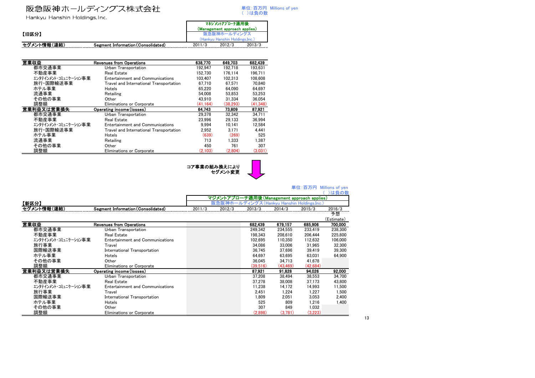単位:百万円 Millions of yen ( )は負の数

Hankyu Hanshin Holdings, Inc.

|             |                                    |        | マネジメソトアプローチ適用後                 |        |
|-------------|------------------------------------|--------|--------------------------------|--------|
|             |                                    |        | (Management approach applies)  |        |
| 【旧区分】       |                                    |        | 阪急阪神ホールディングス                   |        |
|             |                                    |        | (Hankyu Hanshin Holdings.Inc.) |        |
| セグメント情報(連結) | Segment Information (Consolidated) | 2011/3 | 2012/3                         | 2013/3 |

| 営業収益                  | Revenues from Operations                | 638,770  | 649.703  | 682,439   |
|-----------------------|-----------------------------------------|----------|----------|-----------|
| 都市交通事業                | Urban Transportation                    | 192.947  | 192.718  | 193.631   |
| 不動産事業                 | <b>Real Estate</b>                      | 152.730  | 176.114  | 196.711   |
| エンタテインメント・コミュニケーション事業 | Entertainment and Communications        | 103.407  | 102.313  | 108.608   |
| 旅行·国際輸送事業             | Travel and International Transportation | 67.710   | 67.571   | 70.840    |
| ホテル事業                 | Hotels                                  | 65.220   | 64.090   | 64.697    |
| 流通事業                  | Retailing                               | 54.008   | 53.853   | 53.253    |
| その他の事業                | Other                                   | 43.910   | 31.334   | 36.054    |
| 調整額                   | <b>Eliminations or Corporate</b>        | (41.164) | (38.293) | (41, 348) |
| 営業利益又は営業損失            | Operating income (losses)               | 64.743   | 73.809   | 87.921    |
| 都市交通事業                | Urban Transportation                    | 29.378   | 32.342   | 34.711    |
| 不動産事業                 | Real Estate                             | 23.996   | 29.133   | 36.994    |
| エンタテインメント・コミュニケーション事業 | Entertainment and Communications        | 9.994    | 10.141   | 12.584    |
| 旅行•国際輸送事業             | Travel and International Transportation | 2.952    | 3.171    | 4.441     |
| ホテル事業                 | Hotels                                  | (639)    | (269)    | 525       |
| 流通事業                  | Retailing                               | 713      | 1.333    | .387      |
| その他の事業                | Other                                   | 450      | 761      | 307       |
| 調整額                   | <b>Eliminations or Corporate</b>        | (2.103)  | (2.804)  | (3.031)   |



| 換えにより  |  |
|--------|--|
| 「メント変更 |  |

|                       |                                         |        |              |                                    |                                | 単位:百万円   | Millions of yen<br>)は負の数 |
|-----------------------|-----------------------------------------|--------|--------------|------------------------------------|--------------------------------|----------|--------------------------|
|                       |                                         |        | マジメントア<br>19 | -チ適用後(Management approach applies) |                                |          |                          |
| 【新区分】                 |                                         |        |              |                                    | (Hankyu Hanshin Holdings,Inc.) |          |                          |
| セグメント情報(連結)           | Segment Information (Consolidated)      | 2011/3 | 2012/3       | 2013/3                             | 2014/3                         | 2015/3   | 2016/3                   |
|                       |                                         |        |              |                                    |                                |          | 予想                       |
|                       |                                         |        |              |                                    |                                |          | (Estimate)               |
| 営業収益                  | <b>Revenues from Operations</b>         |        |              | 682.439                            | 679.157                        | 685.906  | 700,000                  |
| 都市交通事業                | Urban Transportation                    |        |              | 249.342                            | 234,555                        | 233.419  | 238,300                  |
| 不動産事業                 | <b>Real Estate</b>                      |        |              | 198.343                            | 208.610                        | 206.444  | 225.800                  |
| エンタテインメント・コミュニケーション事業 | <b>Entertainment and Communications</b> |        |              | 102.695                            | 110,350                        | 112,632  | 106.000                  |
| 旅行事業                  | Travel                                  |        |              | 34.086                             | 33,006                         | 31.965   | 32.300                   |
| 国際輸送事業                | International Transportation            |        |              | 36,745                             | 37,696                         | 39,419   | 39,300                   |
| ホテル事業                 | Hotels                                  |        |              | 64.697                             | 63.695                         | 63.031   | 64.900                   |
| その他の事業                | Other                                   |        |              | 36.045                             | 34.713                         | 41.678   |                          |
| 調整額                   | Eliminations or Corporate               |        |              | (39.516)                           | (43.469)                       | (42.684) |                          |
| 営業利益又は営業損失            | Operating income (losses)               |        |              | 87.921                             | 91.828                         | 94.026   | 92,000                   |
| 都市交通事業                | Urban Transportation                    |        |              | 37.208                             | 38.494                         | 38.553   | 34.700                   |
| 不動産事業                 | <b>Real Estate</b>                      |        |              | 37.278                             | 38.008                         | 37.173   | 43,800                   |
| エンタテインメント・コミュニケーション事業 | Entertainment and Communications        |        |              | 11.238                             | 14.172                         | 14.993   | 11,500                   |
| 旅行事業                  | Travel                                  |        |              | 2.451                              | 1.224                          | 1.227    | 1.500                    |
| 国際輸送事業                | International Transportation            |        |              | 1,809                              | 2,051                          | 3,053    | 2,400                    |
| ホテル事業                 | Hotels                                  |        |              | 525                                | 809                            | 1,216    | 1.400                    |
| その他の事業                | Other                                   |        |              | 307                                | 849                            | 1,032    |                          |
| 調整額                   | Eliminations or Corporate               |        |              | (2.898)                            | (3,781)                        | (3.223)  |                          |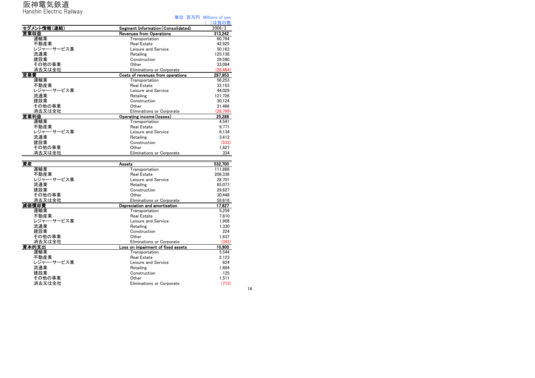### 阪神電気鉄道

Hanshin Electric Railway

| $11$ anonin Livvuto Tainvay |                                    | 単位:百万円 Millions of yen |
|-----------------------------|------------------------------------|------------------------|
| セグメント情報(連結)                 | Segment Information (Consolidated) | ()は負の数<br>2006/3       |
| 営業収益                        | <b>Revenues from Operations</b>    | 313.242                |
| 運輸業                         | Transportation                     | 60,794                 |
| 不動産業                        | <b>Real Estate</b>                 | 42,925                 |
| レジャー・サービス業                  | Leisure and Service                | 50,163                 |
| 流通業                         | Retailing                          | 125,138                |
| 建設業                         | Construction                       | 29.590                 |
| その他の事業                      | Other                              | 33,094                 |
| 消去又は全社                      | <b>Eliminations or Corporate</b>   | (28.464)               |
| 営業費                         | Costs of revenues from operations  | 287,953                |
| 運輸業                         | Transportation                     | 56.253                 |
| 不動産業                        | <b>Real Estate</b>                 | 33.153                 |
| レジャー・サービス業                  | Leisure and Service                | 44,029                 |
| 流通業                         | Retailing                          | 121,726                |
| 建設業                         | Construction                       | 30,124                 |
| その他の事業                      | Other                              | 31,466                 |
| 消去又は全社                      | Eliminations or Corporate          | (28, 799)              |
| 営業利益                        | Operating income (losses)          | 25,288                 |
| 運輸業                         | Transportation                     | 4.541                  |
| 不動産業                        | <b>Real Estate</b>                 | 9.771                  |
| レジャー・サービス業                  | Leisure and Service                | 6.134                  |
| 流通業                         | Retailing                          | 3.412                  |
| 建設業                         | Construction                       | (533)                  |
| その他の事業                      | Other                              | 1,627                  |
| 消去又は全社                      | <b>Eliminations or Corporate</b>   | 334                    |
|                             |                                    |                        |
| 資産                          | Assets                             | 532,700                |
| 運輸業                         | Transportation                     | 111.888                |
| 不動産業                        | <b>Real Estate</b>                 | 208,338                |
| レジャー・サービス業                  | Leisure and Service                | 28,701                 |
| 流通業                         | Retailing                          | 65,077                 |
| 建設業                         | Construction                       | 29.627                 |
| その他の事業                      | Other                              | 30,448                 |
| 消去又は全社                      | <b>Eliminations or Corporate</b>   | 58.618                 |
| 減価償却費                       | Depreciation and amortisation      | 17.827                 |
| 運輸業                         | Transportation                     | 5.259                  |
| 不動産業                        | <b>Real Estate</b>                 | 7,810                  |
| レジャー・サービス業                  | Leisure and Service                | 1,908                  |
| 流通業                         | Retailing                          | 1,330                  |
| 建設業                         | Construction                       | 224                    |
| その他の事業                      | Other                              | 1,637                  |
| 消去又は全社                      | Eliminations or Corporate          | (343)                  |
| 資本的支出                       | Loss on impairment of fixed assets | 10.900                 |
| 運輸業                         | Transportation                     | 5.544                  |
| 不動産業                        | <b>Real Estate</b>                 | 2.123                  |
| レジャー・サービス業                  | Leisure and Service                | 624                    |
| 流通業                         | Retailing                          | 1,684                  |
| 建設業                         | Construction                       | 125                    |
| その他の事業                      | Other                              | 1.511                  |
| 消去又は全社                      | <b>Eliminations or Corporate</b>   | (713)                  |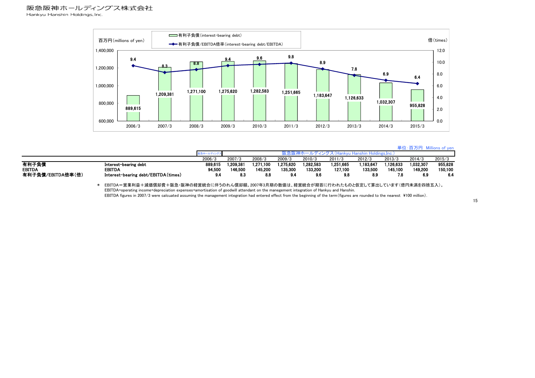

単位:百万円 Millions of yen 阪急ホールディングス2006/3 2007/3 2008/3 2009/3 2010/3 2011/3 2012/3 2013/3 2014/3 2015/3 有利子負債 Interest-bearing debt 889,615 1,209,381 1,271,100 1,275,620 1,282,583 1,251,665 1,183,647 1,126,633 1,032,307 955,828 EBITDA<br>有利子負債/EBITDA倍率(倍) EBITDA 94,500 146,500 145,200 135,300 133,200 127,100 133,500 145,100 149,200 150,100 有利子負債/EBITDA倍率(倍) Interest-bearing debt/EBITDA(times) 9.4 8.3 8.8 9.4 9.6 9.8 8.9 7.8 6.9 6.4 阪急阪神ホールディングス(Hankyu Hanshin Holdings,Inc.)

> \* EBITDA=営業利益+減価償却費+阪急・阪神の経営統合に伴うのれん償却額。2007年3月期の数値は、経営統合が期首に行われたものと仮定して算出しています(億円未満を四捨五入)。 EBITDA=operating income+depreciation expenses+amortisation of goodwill attendant on the manegement integration of Hankyu and Hanshin.

EBITDA figures in 2007/3 were calcuated assuming the management integration had entered effect from the beginning of the term (figures are rounded to the nearest ¥100 million).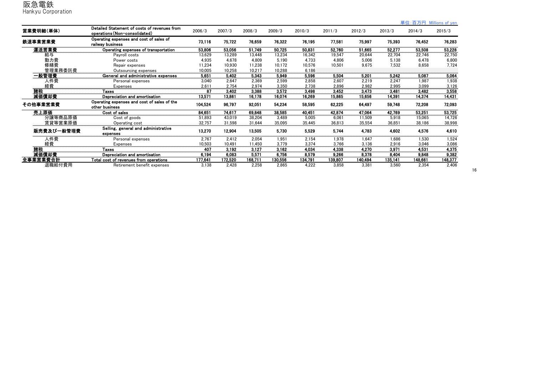|  |  |  |  |  | 単位:百万円 Millions of yen |  |  |
|--|--|--|--|--|------------------------|--|--|
|--|--|--|--|--|------------------------|--|--|

| 営業費明細(単体)  | Detailed Statement of costs of revenues from<br>operations (Non-consolidated) | 2006/3  | 2007/3  | 2008/3  | 2009/3  | 2010/3  | 2011/3  | 2012/3  | 2013/3  | 2014/3  | 2015/3  |
|------------|-------------------------------------------------------------------------------|---------|---------|---------|---------|---------|---------|---------|---------|---------|---------|
| 鉄道事業営業費    | Operating expenses and cost of sales of<br>railway business                   | 73,116  | 75,722  | 76,659  | 76,322  | 76,195  | 77,581  | 75,997  | 75,393  | 76,452  | 76,283  |
| 運送営業費      | Operating expenses of transportation                                          | 53,806  | 53.056  | 51,749  | 50,725  | 50.831  | 52.760  | 51.665  | 52,277  | 53.508  | 53,228  |
| 給与         | Pavroll costs                                                                 | 13,629  | 13,289  | 13,448  | 13,234  | 16,342  | 19,547  | 20,644  | 22,704  | 22,746  | 22,750  |
| 動力費        | Power costs                                                                   | 4,935   | 4.678   | 4,809   | 5.190   | 4,733   | 4,806   | 5,006   | 5,138   | 6,478   | 6,800   |
| 修繕費        | Repair expenses                                                               | 11,234  | 10.930  | 11.238  | 10.172  | 10,576  | 10.501  | 9.675   | 7.532   | 8.658   | 7,724   |
| 管理業務委託費    | Outsourcing expenses                                                          | 10.005  | 10.258  | 10,217  | 10.288  | 6.186   |         |         |         |         |         |
| 一般管理費      | General and administrative expenses                                           | 5.651   | 5.402   | 5.343   | 5.949   | 5.596   | 5.504   | 5.201   | 5.242   | 5.087   | 5,064   |
| 人件費        | Personal expenses                                                             | 3.040   | 2.647   | 2.369   | 2.599   | 2,858   | 2.607   | 2.219   | 2.247   | 1.987   | 1,938   |
| 経費         | <b>Expenses</b>                                                               | 2,611   | 2.754   | 2.974   | 3.350   | 2,738   | 2.896   | 2.982   | 2.995   | 3.099   | 3,126   |
| 諸税         | Taxes                                                                         | 87      | 3.402   | 3.388   | 3.572   | 3.498   | 3.452   | 3.473   | 3.481   | 3.482   | 3.558   |
| 減価償却費      | Depreciation and amortisation                                                 | 13,571  | 13,861  | 16,178  | 16,074  | 16,269  | 15,865  | 15,656  | 14,391  | 14,374  | 14,431  |
| その他事業営業費   | Operating expenses and cost of sales of the<br>other business                 | 104,524 | 96,797  | 92,051  | 54,234  | 58,595  | 62,225  | 64,497  | 59,748  | 72,208  | 72,093  |
| 売上原価       | Cost of sales                                                                 | 84.651  | 74.617  | 69.848  | 38,585  | 40.451  | 42.874  | 47.064  | 42.769  | 53.251  | 53.725  |
| 分讓等商品原価    | Cost of goods                                                                 | 51,893  | 43,019  | 38,204  | 3,489   | 5,005   | 6,061   | 11,509  | 5,918   | 15,065  | 14,726  |
| 賃貸等営業原価    | Operating cost                                                                | 32,757  | 31.598  | 31.644  | 35,095  | 35,445  | 36.813  | 35,554  | 36,851  | 38,186  | 38,998  |
| 販売費及び一般管理費 | Selling, general and administrative<br>expenses                               | 13,270  | 12,904  | 13,505  | 5,730   | 5,529   | 5,744   | 4,783   | 4.602   | 4.576   | 4.610   |
| 人件費        | Personal expenses                                                             | 2,767   | 2,412   | 2,054   | 1.951   | 2,154   | 1,978   | 1.647   | 1,686   | 1.530   | 1,524   |
| 経費         | Expenses                                                                      | 10,503  | 10.491  | 11.450  | 3.779   | 3,374   | 3.766   | 3.136   | 2,916   | 3.046   | 3,086   |
| 請税         | <b>Taxes</b>                                                                  | 407     | 3.192   | 3.127   | 3.162   | 4.034   | 4.338   | 4.270   | 3.971   | 4.531   | 4,375   |
| 減価償却費      | Depreciation and amortisation                                                 | 6.194   | 6.083   | 5.571   | 6.756   | 8.579   | 9.266   | 8.378   | 8.404   | 9.848   | 9,382   |
| 全事業営業費合計   | Total cost of revenues from operations                                        | 177.641 | 172.520 | 168,711 | 130,556 | 134,791 | 139,807 | 140,494 | 135.141 | 148,661 | 148,377 |
| 退職給付費用     | Retirement benefit expenses                                                   | 3.138   | 2.428   | 2.258   | 2.865   | 4.222   | 3.858   | 3.381   | 3.560   | 2.354   | 2.406   |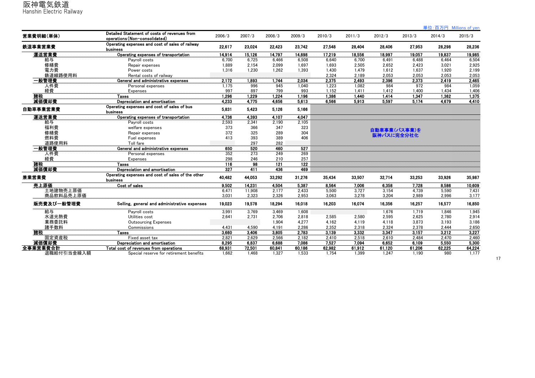単位:百万円 Millions of yen

| 営業費明細(単体)  | Detailed Statement of costs of revenues from<br>operations (Non-consolidated) | 2006/3 | 2007/3 | 2008/3 | 2009/3 | 2010/3 | 2011/3 | 2012/3       | 2013/3 | 2014/3 | 2015/3 |
|------------|-------------------------------------------------------------------------------|--------|--------|--------|--------|--------|--------|--------------|--------|--------|--------|
| 鉄道事業営業費    | Operating expenses and cost of sales of railway<br>business                   | 22.617 | 23,024 | 22.423 | 23.742 | 27.548 | 28.404 | 28,406       | 27,953 | 28,298 | 28,236 |
| 運送営業費      | Operating expenses of transportation                                          | 14.914 | 15.126 | 14.797 | 14.898 | 17.219 | 18,556 | 18.997       | 19.057 | 19.837 | 19,985 |
| 給与         | Payroll costs                                                                 | 6.700  | 6,725  | 6.466  | 6.508  | 6,640  | 6.700  | 6.491        | 6,488  | 6.464  | 6,504  |
| 修繕費        | Repair expenses                                                               | 1.889  | 2.154  | 2.099  | 1.697  | 1,693  | 2.505  | 2.652        | 2,423  | 3.021  | 2,925  |
| 電力費        | Power costs                                                                   | 1.316  | 1.230  | 1.262  | 1.393  | 1,430  | 1.479  | 1.612        | 1.637  | 1.920  | 2,199  |
| 鉄道線路使用料    | Rental costs of railway                                                       |        |        |        |        | 2.324  | 2.189  | 2.053        | 2.053  | 2.053  | 2,053  |
| 一般管理費      | General and administrative expenses                                           | 2.172  | 1,893  | 1.744  | 2.034  | 2.375  | 2.493  | 2.396        | 2.373  | 2.419  | 2,465  |
| 人件費        | Personal expenses                                                             | 1.175  | 996    | 945    | 1.040  | 1.223  | 1.082  | 984          | 972    | 984    | 1,059  |
| 経費         | <b>Expenses</b>                                                               | 997    | 897    | 799    | 993    | 1,152  | 1.411  | 1,412        | 1,400  | 1,434  | 1,406  |
| 諸税         | <b>Taxes</b>                                                                  | 1.296  | 1.229  | 1.224  | 1.196  | 1.386  | 1.440  | 1.414        | 1.347  | 1.362  | 1.375  |
| 減価償却費      | Depreciation and amortisation                                                 | 4.233  | 4.775  | 4.656  | 5.613  | 6.566  | 5.913  | 5.597        | 5,174  | 4.679  | 4,410  |
| 自動車事業営業費   | Operating expenses and cost of sales of bus<br>business                       | 5.831  | 5.423  | 5.126  | 5.166  |        |        |              |        |        |        |
| 運送営業費      | Operating expenses of transportation                                          | 4,736  | 4,393  | 4.107  | 4.047  |        |        |              |        |        |        |
| 給与         | Payroll costs                                                                 | 2,593  | 2,341  | 2,190  | 2,105  |        |        |              |        |        |        |
| 福利費        | welfare expenses                                                              | 373    | 366    | 347    | 323    |        |        | 自動車事業(バス事業)を |        |        |        |
| 修繕費        | Repair expenses                                                               | 372    | 325    | 289    | 304    |        |        | 阪神バスに完全分社化   |        |        |        |
| 燃料費        | Fuel expenses                                                                 | 413    | 393    | 389    | 406    |        |        |              |        |        |        |
| 道路使用料      | Toll fare                                                                     |        | 297    | 282    |        |        |        |              |        |        |        |
| 一般管理費      | General and administrative expenses                                           | 650    | 520    | 460    | 527    |        |        |              |        |        |        |
| 人件費        | Personal expenses                                                             | 352    | 273    | 249    | 269    |        |        |              |        |        |        |
| 経費         | <b>Expenses</b>                                                               | 298    | 246    | 210    | 257    |        |        |              |        |        |        |
| 諸税         | Taxes                                                                         | 116    | 98     | 121    | 122    |        |        |              |        |        |        |
| 減価償却費      | Depreciation and amortisation                                                 | 327    | 411    | 436    | 469    |        |        |              |        |        |        |
| 兼業営業費      | Operating expenses and cost of sales of the other<br>business                 | 40.482 | 44.053 | 33.292 | 31.276 | 35.434 | 33.507 | 32,714       | 33,253 | 33.926 | 35,987 |
| 売上原価       | Cost of sales                                                                 | 9.502  | 14.231 | 4.504  | 5.387  | 8.564  | 7.006  | 6.358        | 7.728  | 8.586  | 10.609 |
| 土地建物売上原価   |                                                                               | 6.471  | 11.908 | 2.177  | 2.433  | 5.500  | 3.727  | 3.154        | 4.739  | 5.590  | 7.431  |
| 商品飲料品売上原価  |                                                                               | 3.031  | 2.323  | 2.326  | 2.953  | 3.063  | 3.278  | 3.204        | 2.989  | 2.996  | 3.177  |
| 販売費及び一般管理費 | Selling, general and administrative expenses                                  | 19.023 | 19,578 | 18.294 | 16,018 | 16.203 | 16.074 | 16,356       | 16,257 | 16,577 | 16,850 |
| 給与         | Payroll costs                                                                 | 3,991  | 3,769  | 3,469  | 1,608  |        |        | 1,676        | 1,719  | 1,846  | 1,945  |
| 水道光熱費      | Utilities cost                                                                | 2.641  | 2.731  | 2.706  | 2,818  | 2,585  | 2.580  | 2,595        | 2,625  | 2.780  | 2,914  |
| 業務委託料      | <b>Outsourcing Expenses</b>                                                   |        |        | 1.904  | 4.277  | 4.162  | 4.119  | 4.118        | 3.873  | 3.193  | 3,186  |
| 諸手数料       | Commissions                                                                   | 4.431  | 4.590  | 4.191  | 2.286  | 2.352  | 2.318  | 2.324        | 2,378  | 2.444  | 2,650  |
| 諸税         | <b>Taxes</b>                                                                  | 3,660  | 3,406  | 3.805  | 2.783  | 3,139  | 3,332  | 3,347        | 3,157  | 3.212  | 3,227  |
| 固定資産税      | Fixed asset tax                                                               | 2.821  | 2.629  | 2.566  | 2.182  | 2.410  | 2.518  | 2.610        | 2.484  | 2.470  | 2.460  |
| 減価償却費      | Depreciation and amortisation                                                 | 8.295  | 6.837  | 6.688  | 7.086  | 7.527  | 7.094  | 6.652        | 6,109  | 5.550  | 5.300  |
| 全事業営業費合計   | Total cost of revenues from operations                                        | 68.931 | 72.501 | 60.841 | 60.186 | 62.982 | 61.912 | 61.120       | 61.206 | 62.225 | 64,224 |
| 退職給付引当金繰入額 | Special reserve for retirement benefits                                       | 1.662  | 1.468  | 1.327  | 1.533  | 1.754  | 1.399  | 1.247        | 1.190  | 980    | 1.177  |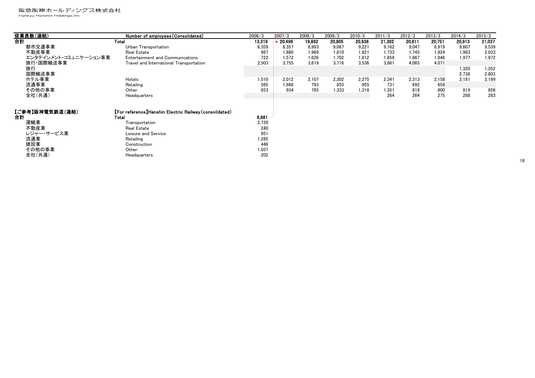阪急阪神ホールディングス株式会社<br><sub>Hankyu</sub> Hanshin Holdings,Inc.

不動産業 Real Estate 240 レジャー・サービス業 しゅうしょう Leisure and Service しゅうしゅうしゃ りょうしゃ りょうしゃ 流通業 Retailing 1,285 建設業 Construction 446 その他の事業 Other 1,037 全社(共通) Headquarters 202

| 従業員数(連結)              | Number of employees (Consolidated)                     | 2006/3            | 2007/3 | 2008/3 | 2009/3 | 2010/3 | 2011/3 | 2012/3 | 2013/3 | 2014/3 | 2015/3 |
|-----------------------|--------------------------------------------------------|-------------------|--------|--------|--------|--------|--------|--------|--------|--------|--------|
| 合計                    | Total                                                  | 13.319            | 20.498 | 19.892 | 20,805 | 20,938 | 21.302 | 20.811 | 20,751 | 20.913 | 21,037 |
| 都市交通事業                | Urban Transportation                                   | 6.359             | 8.357  | 8.993  | 9.087  | 9.221  | 9,162  | 9.047  | 8.919  | 9.607  | 9.539  |
| 不動産事業                 | <b>Real Estate</b>                                     | 987               | 1.880  | 1.969  | 1.810  | 1.821  | 1.733  | 1.745  | 1,924  | 1.983  | 2,033  |
| エンタテインメント・コミュニケーション事業 | Entertainment and Communications                       | 722               | 1.572  | 1,626  | 1,702  | 1,812  | 1,859  | 1.867  | 1,946  | 1.977  | 1.972  |
| 旅行·国際輸送事業             | Travel and International Transportation                | 2.503             | 3.755  | 3.619  | 3.716  | 3.536  | 3.861  | 4.065  | 4.071  |        |        |
| 旅行                    |                                                        |                   |        |        |        |        |        |        |        | 1.320  | 1.352  |
| 国際輸送事業                |                                                        |                   |        |        |        |        |        |        |        | 2.738  | 2.803  |
| ホテル事業                 | Hotels                                                 | 1.510             | 2.012  | 2.107  | 2.302  | 2.275  | 2.341  | 2.313  | 2.158  | 2.181  | 2.199  |
| 流通事業                  | Retailing                                              | 585               | 1.988  | 793    | 855    | 955    | 731    | 692    | 658    |        |        |
| その他の事業                | Other                                                  | 653               | 934    | 785    | 1.333  | 1.318  | 1,351  | 818    | 800    | 819    | 856    |
| 全社(共通)                | Headquarters                                           |                   |        |        |        |        | 264    | 264    | 275    | 288    | 283    |
| 【ご参考】阪神電気鉄道(連結)       | [For reference]Hanshin Electric Railway (consolidated) |                   |        |        |        |        |        |        |        |        |        |
| 合計<br>運輸業             | Total<br>Transportation                                | $6,881-$<br>2,720 |        |        |        |        |        |        |        |        |        |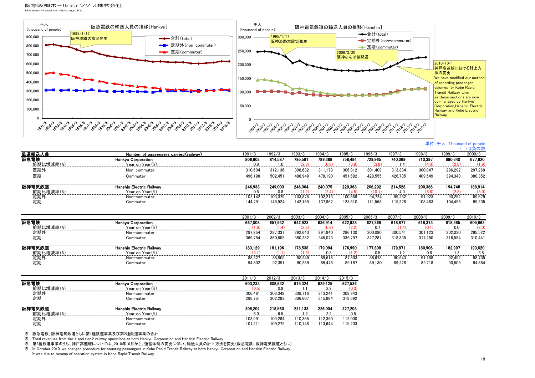

単位:千人 Thousand of people ( )は負の数

| 鉄道輸送人員    | Number of passengers carried (railway) | 1991/3  | 1992/3  | 1993/3  | 1994/3  | 1995/3  | 1996/3  | 1997/3  | 1998/3  | 1999/3  | 10.5292<br>2000/3 |
|-----------|----------------------------------------|---------|---------|---------|---------|---------|---------|---------|---------|---------|-------------------|
| 阪急電鉄      | <b>Hankyu Corporation</b>              | 806,803 | 814,587 | 795,581 | 789,368 | 758,494 | 729,965 | 740.069 | 710,397 | 690,640 | 677,620           |
| 前期比増減率(%) | Year on Year(%)                        | 0.8     | 1.0     | (2.3)   | (0.8)   | (3.9)   | (3.8)   | 1.4     | (4.0)   | (2.8)   | (1.9)             |
| 定期外       | Non-commuter                           | 310,604 | 312.136 | 308,632 | 311.178 | 306.812 | 301.409 | 313,334 | 300,847 | 296,292 | 297,268           |
| 定期        | Commuter                               | 496,198 | 502,451 | 486,949 | 478,190 | 451.682 | 428,555 | 426,735 | 409,549 | 394,348 | 380,352           |
| 阪神電気鉄道    | Hanshin Electric Railwav               | 246,933 | 249,003 | 246,064 | 240,075 | 229.368 | 206,292 | 214.528 | 200,386 | 194,748 | 188,914           |
| 前期比増減率(%) | Year on Year (%)                       | 0.5     | 0.8     | (1.2)   | (2.4)   | (4.5)   | (10.1)  | 4.0     | (6.6)   | (2.8)   | (3.0)             |
| 定期外       | Non-commuter                           | 102,142 | 103.079 | 103.875 | 102.213 | 100,858 | 94,724  | 99.252  | 91.923  | 90,252  | 89,679            |
| 定期        | Commuter                               | 144,791 | 145,924 | 142,189 | 137,862 | 128,510 | 111,568 | 115,276 | 108,463 | 104,496 | 99,235            |
|           |                                        | 2001/3  | 2002/3  | 2003/3  | 2004/3  | 2005/3  | 2006/3  | 2007/3  | 2008/3  | 2009/3  | 2010/3            |
| 阪急電鉄      | Hankyu Corporation                     | 667,008 | 657.942 | 642,923 | 636,914 | 622,928 | 627,368 | 618.877 | 618,373 | 618,585 | 605,963           |
| 前期比増減率(%) | Year on Year(%)                        | (1.6)   | (1.4)   | (2.3)   | (0.9)   | (2.2)   | 0.7     | (1.4)   | (0.1)   | 0.0     | (2.0)             |
| 定期外       | Non-commuter                           | 297,254 | 297.337 | 292.640 | 291.840 | 286.130 | 300.080 | 300.541 | 301.123 | 302,030 | 295,522           |
| 定期        | Commuter                               | 369,754 | 360,605 | 350,282 | 345,073 | 336,797 | 327,287 | 318,335 | 317,250 | 316,554 | 310,441           |
| 阪神電気鉄道    | Hanshin Electric Railway               | 183,129 | 181.196 | 178,538 | 179,094 | 176,990 | 177,808 | 179,871 | 180,906 | 182,997 | 193,620           |
| 前期比増減率(%) | Year on Year(%)                        | (3.1)   | (1.1)   | (1.5)   | 0.3     | (1.2)   | 0.5     | 1.2     | 0.6     | 1.2     | 5.8               |
| 定期外       | Non-commuter                           | 88,327  | 88.805  | 88.249  | 89.618  | 87.803  | 88.678  | 90.643  | 91.188  | 92.492  | 98,735            |
| 定期        | Commuter                               | 94,802  | 92,391  | 90,289  | 89.476  | 89.187  | 89.130  | 89,228  | 89,718  | 90,505  | 94,884            |
|           |                                        | 2011/3  | 2012/3  | 2013/3  | 2014/3  | 2015/3  |         |         |         |         |                   |
| 阪急電鉄      | <b>Hankyu Corporation</b>              | 603,233 | 608,632 | 615,324 | 629,125 | 627,536 |         |         |         |         |                   |
| 前期比増減率(%) | Year on Year(%)                        | (0.5)   | 0.9     |         | 2.2     | (0.3)   |         |         |         |         |                   |
| 定期外       | Non-commuter                           | 306.481 | 306.349 | 308.716 | 313.241 | 308.843 |         |         |         |         |                   |

| 定期     | ommuter                      | 296.751 | 302.282 | 306.607 | 315.884 | 318.692          |
|--------|------------------------------|---------|---------|---------|---------|------------------|
| 阪神電気鉄道 | Hanshin Electric Railway     | 205.202 | 218.560 | 221.133 | 226.004 | 227.203          |
|        | $\alpha$<br>Yearl<br>rear on | 6.0     | 6.t     |         | n r     | 0.5<br>--------- |
| 定期外    | Non-commuter                 | 103.991 | 109.284 | 110.385 | 12.360  | 12.000           |
| 定期     | .ommuter                     | 101.211 | 109.275 | 110.748 | 113.644 | 115.203          |

※ 阪急電鉄、阪神電気鉄道ともに第1種鉄道事業及び第2種鉄道事業の合計

※ Total revenues from tier 1 and tier 2 railway operations at both Hankyu Corporation and Hanshin Electric Railway.<br>※ 第2種鉄道事業のうち、神戸高速線については、2010年10月から、運営体制の変更に伴い、輸送人員の計上方法?

第2種鉄道事業のうち、神戸高速線については、2010年10月から、運営体制の変更に伴い、輸送人員の計上方法を変更(阪急電鉄、阪神電気鉄道ともに)

※ In October 2010, we changed procedure for counting passengers in Kobe Papid Transit Railway at both Hankyu Corporation and Hanshin Electric Railway. It was due to revamp of operation system in Kobe Rapid Transit Railway.